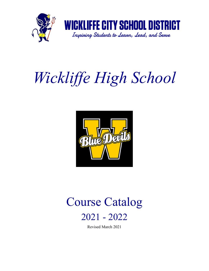

## *Wickliffe High School*



# Course Catalog

## 2021 - 2022

Revised March 2021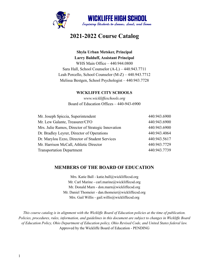

## **2021-2022 Course Catalog**

### **Shyla Urban Metsker, Principal Larry Balduff, Assistant Principal** WHS Main Office – 440.944.0800

Sara Hall, School Counselor (A-L) – 440.943.7711 Leah Porcello, School Counselor (M-Z) – 440.943.7712 Melissa Bestgen, School Psychologist – 440.943.7728

#### **WICKLIFFE CITY SCHOOLS**

*www.wickliffeschools.org* Board of Education Offices – 440-943-6900

| Mr. Joseph Spiccia, Superintendent                 | 440.943.6900 |
|----------------------------------------------------|--------------|
| Mr. Lew Galante, Treasurer/CFO                     | 440.943.6900 |
| Mrs. Julie Ramos, Director of Strategic Innovation | 440.943.6900 |
| Dr. Bradley Leyrer, Director of Operations         | 440.943.4064 |
| Dr. Marylou Ezzo, Director of Student Services     | 440.943.5617 |
| Mr. Harrison McCall, Athletic Director             | 440.943.7729 |
| <b>Transportation Department</b>                   | 440.943.7739 |

#### **MEMBERS OF THE BOARD OF EDUCATION**

Mrs. Katie Ball - katie.ball@wickliffecsd.org Mr. Carl Marine - carl.marine@wickliffecsd.org Mr. Donald Marn - don.marn@wickliffecsd.org Mr. Daniel Thomeier - dan.thomeier@wickliffecsd.org Mrs. Gail Willis - gail.willis@wickliffecsd.org

This course catalog is in alignment with the Wickliffe Board of Education policies at the time of publication. Policies, procedures, rules, information, and guidelines in this document are subject to changes in Wickliffe Board *of Education Policy, Ohio Department of Education policy, Ohio Revised Code, and United States federal law.* Approved by the Wickliffe Board of Education - PENDING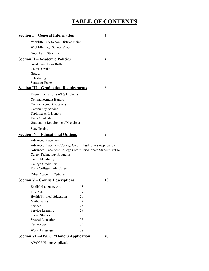## **TABLE OF CONTENTS**

| <b>Section I – General Information</b>                                                                                     |          | 3  |  |
|----------------------------------------------------------------------------------------------------------------------------|----------|----|--|
| Wickliffe City School District Vision                                                                                      |          |    |  |
| Wickliffe High School Vision                                                                                               |          |    |  |
| <b>Good Faith Statement</b>                                                                                                |          |    |  |
| <b>Section II – Academic Policies</b>                                                                                      |          | 4  |  |
| Academic Honor Rolls                                                                                                       |          |    |  |
| Course Credit                                                                                                              |          |    |  |
| Grades                                                                                                                     |          |    |  |
| Scheduling                                                                                                                 |          |    |  |
| <b>Semester Exams</b>                                                                                                      |          | 6  |  |
| <b>Section III – Graduation Requirements</b>                                                                               |          |    |  |
| Requirements for a WHS Diploma                                                                                             |          |    |  |
| <b>Commencement Honors</b>                                                                                                 |          |    |  |
| <b>Commencement Speakers</b>                                                                                               |          |    |  |
| <b>Community Service</b><br>Diploma With Honors                                                                            |          |    |  |
| Early Graduation                                                                                                           |          |    |  |
| <b>Graduation Requirement Disclaimer</b>                                                                                   |          |    |  |
| <b>State Testing</b>                                                                                                       |          |    |  |
| <b>Section IV – Educational Options</b>                                                                                    |          | 9  |  |
|                                                                                                                            |          |    |  |
| <b>Advanced Placement</b>                                                                                                  |          |    |  |
|                                                                                                                            |          |    |  |
| Advanced Placement/College Credit Plus/Honors Application<br>Advanced Placement/College Credit Plus/Honors Student Profile |          |    |  |
| <b>Career Technology Programs</b>                                                                                          |          |    |  |
| <b>Credit Flexibility</b>                                                                                                  |          |    |  |
| College Credit Plus                                                                                                        |          |    |  |
| Early College Early Career                                                                                                 |          |    |  |
| Other Academic Options                                                                                                     |          |    |  |
| <b>Section V – Course Descriptions</b>                                                                                     |          | 13 |  |
| English/Language Arts                                                                                                      | 13       |    |  |
| <b>Fine Arts</b>                                                                                                           | 17       |    |  |
| Health/Physical Education                                                                                                  | 20       |    |  |
| Mathematics                                                                                                                | 22       |    |  |
| Science                                                                                                                    | 25       |    |  |
| Service Learning                                                                                                           | 29       |    |  |
| <b>Social Studies</b>                                                                                                      | 30<br>33 |    |  |
| <b>Special Education</b><br>Technology                                                                                     | 35       |    |  |

### **Section VI –AP/CCP/Honors Application 40**

AP/CCP/Honors Application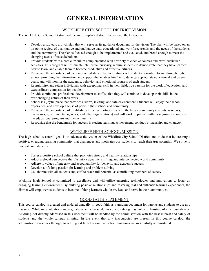## **GENERAL INFORMATION**

#### WICKLIFFE CITY SCHOOL DISTRICT VISION

The Wickliffe City School District will be an exemplary district. To that end, the District will:

- Develop a strategic growth plan that will serve as its guidance document for the vision. The plan will be based on an on-going review of quantitative and qualitative data, educational and workforce trends, and the needs of the students and the community. The plan is focused enough to be implemented and evaluated, and broad enough to meet the changing needs of its stakeholders.
- Provide students with a core curriculum complemented with a variety of elective courses and extra-curricular activities. This program will stimulate intellectual curiosity, require students to demonstrate that they have learned how to learn, and enable them to become productive and effective citizens.
- Recognize the importance of each individual student by facilitating each student's transition to and through high school, providing the information and support that enables him/her to develop appropriate educational and career goals, and will monitor the academic, behavior, and emotional progress of each student
- Recruit, hire, and retain individuals with exceptional skill in their field, true passion for the work of education, and extraordinary compassion for people.
- Provide continuous professional development to staff so that they will continue to develop their skills in the ever-changing nature of their work.
- School is a joyful place that provides a warm, inviting, and safe environment. Students will enjoy their school experience, and develop a sense of pride in their school and community
- Recognize the importance of establishing effective partnerships with the larger community (parents, residents, businesses, governmental agencies, and other organizations) and will work to partner with these groups to improve the educational program and the community.
- Recognize that the benchmark for success is student learning, achievement, conduct, citizenship, and character.

#### WICKLIFFE HIGH SCHOOL MISSION

The high school's central goal is to advance the vision of the Wickliffe City School District, and to do that by creating a positive, engaging learning community that challenges and motivates our students to reach their true potential. We strive to motivate our students to:

- Foster a positive school culture that promotes strong and healthy relationships
- Adopt a global perspective that fits into a dynamic, shifting, and interconnected world community
- Adhere to values of integrity and accountability for behavior and academic success
- Develop a life-long passion for learning and problem-solving
- Collaborate with all students and staff to reach full potential as contributing members of society

Wickliffe High School is committed to excellence and will utilize emerging technologies and innovations to foster an engaging learning environment. By building positive relationships and fostering real and authentic learning experiences, the district will empower its students to become lifelong learners who learn, lead, and serve in their communities.

#### GOOD FAITH STATEMENT

This course catalog is created and updated annually in good faith as a guiding document for parents and students to use as a resource. While most situations and regulations are addressed, this course catalog may not be exhaustive of all circumstances. Anything not directly addressed in this document will be handled by the administration with the best interest and safety of students and the whole campus in mind. In the event that any inaccuracies are present in this course catalog, the administration reserves the right to act in good faith to ensure all school functions are successfully administered.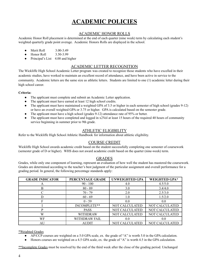## **ACADEMIC POLICIES**

#### ACADEMIC HONOR ROLLS

Academic Honor Roll placement is determined at the end of each quarter (nine week) term by calculating each student's weighted quarterly grade point average. Academic Honors Rolls are displayed in the school.

- Merit Roll 3.00-3.49
- Honor Roll 3.50-3.99
- Principal's List 4.00 and higher

#### ACADEMIC LETTER RECOGNITION

The Wickliffe High School Academic Letter program was created to recognize those students who have excelled in their academic studies, have worked to maintain an excellent record of attendance, and have been active in service to the community. Academic letters are the same size as athletic letters. Students are limited to one (1) academic letter during their high school career.

#### **Criteria:**

- The applicant must complete and submit an Academic Letter application.
- The applicant must have earned at least 12 high school credits.
- The applicant must have maintained a weighted GPA of 3.5 or higher in each semester of high school (grades 9-12) or have an overall weighted GPA or 3.75 or higher. GPA is calculated based on the semester grade.
- The applicant must have a high school (grades 9-12) attendance rate of 95% or better.
- The applicant must have completed and logged in  $x2$ Vol at least 15 hours of the required 40 hours of community service beginning in summer prior to 9th grade.

#### ATHLETIC ELIGIBILITY

Refer to the Wickliffe High School Athletic Handbook for information about athletic eligibility.

#### COURSE CREDIT

Wickliffe High School awards academic credit based on the student successfully completing one semester of coursework (semester grade of D or higher). WHS does not award academic credit based on the quarter (nine-week) term.

#### GRADES

Grades, while only one component of learning, represent an evaluation of how well the student has mastered the coursework. Grades are determined according to the teacher's best judgment of the particular assignment and overall performance for a grading period. In general, the following percentage standards apply:

| <b>GRADE INDICATOR</b> | PERCENTAGE GRADE | <b>UNWEIGHTED GPA</b> | WEIGHTED GPA*  |
|------------------------|------------------|-----------------------|----------------|
|                        | $90 - 100$       | 4.0                   | 4.5/5.0        |
| В                      | $80 - 89$        | 3.0                   | 3.4/4.0        |
|                        | $70 - 79$        | 2.0                   | 2.5/3.0        |
|                        | $60 - 69$        | 1.0                   | 1.5/2.0        |
|                        | $0 - 59$         | 0.0                   | 0.0            |
|                        | INCOMPLETE**     | NOT CALCULATED        | NOT CALCULATED |
| D                      | <b>PASS</b>      | NOT CALCULATED        | NOT CALCULATED |
| W                      | WITHDRAW         | NOT CALCULATED        | NOT CALCULATED |
| WF                     | WITHDRAW FAIL    | 0.0                   | 0.0            |
| AU                     | <b>AUDIT</b>     | NOT CALCULATED        | NOT CALCULATED |

\*Weighted Grades

- AP/CCP courses are weighted on a 5.0 GPA scale, ex. the grade of "A" is worth 5.0 in the GPA calculation.
- Honors courses are weighted on a 4.5 GPA scale, ex. the grade of "A" is worth 4.5 in the GPA calculation.

\*\*Incomplete Grades must be resolved by the end of the third week after the close of the grading period. Unchanged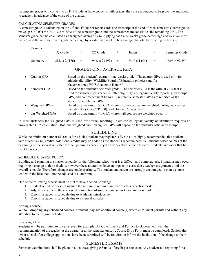incomplete grades will convert to an F. If students have concerns with grades, they are encouraged to be proactive and speak to teachers in advance of the close of the quarter.

#### CALCULATING SEMESTER GRADES

A semester grade is calculated on the  $2<sup>nd</sup>$  and  $4<sup>th</sup>$  quarter report cards and transcript at the end of each semester. Quarter grades make up  $80\%$  (Q1 =  $40\%$  + Q2 =  $40\%$ ) of the semester grade and the semester exam constitutes the remaining 20%. The semester grade can be calculated as a weighted average by multiplying each nine weeks grade percentage and by a value of two (2) and the semester exam grade percentage by a value of one (1). Then average the total by dividing by five (5).

| Example: | 10 Grade      | $^{+}$ | 20 Grade               | Exam                | $=$ | Semester Grade   |
|----------|---------------|--------|------------------------|---------------------|-----|------------------|
| Geometry | 88% x 2 (176) | $+$    | $96\% \times 2(192)$ + | $94\% \times 1(94)$ | $=$ | $462/5 = 92.4\%$ |

#### GRADE POINT AVERAGE (GPA)

| $\bullet$ | Quarter GPA-      | Based on the student's quarter (nine-week) grade. The quarter GPA is used only for<br>athletic eligibility (Wickliffe Board of Education policies) and for<br>placement on a WHS Academic Honor Roll.                                                                                          |
|-----------|-------------------|------------------------------------------------------------------------------------------------------------------------------------------------------------------------------------------------------------------------------------------------------------------------------------------------|
| $\bullet$ | Semester GPA-     | Based on the student's semester grade. The semester GPA is the official GPA that is<br>used for scholarships, academic letter eligibility, college/university reporting, transcript<br>GPA, and commencement honors. Cumulative semester GPAs are reported as the<br>student's cumulative GPA. |
| $\bullet$ | Weighted GPA -    | Based on a maximum 5.0 GPA wherein some courses are weighted. Weighted courses<br>include: AP $(5.0)$ , CCP $(5.0)$ , and Honors Courses $(4.5)$ .                                                                                                                                             |
| $\bullet$ | Un-Weighted GPA - | Based on a maximum 4.0 GPA wherein all courses are weighted equally.                                                                                                                                                                                                                           |

In most instances the weighted GPA is used for official reporting unless the college/university or institution requests an unweighted GPA calculation. Both the weighted and unweighted GPA will appear on the student's official transcript.

#### SCHEDULING

While the minimum number of credits for which a student may register is five (5), it is highly recommended that students take at least six (6) credits. Additional credits may be added as the student's schedule permits. Students select courses at the beginning of the second semester for the upcoming academic year. Every effort is made to enroll students in classes that best meet their needs.

#### SCHEDULE CHANGE POLICY

Building and planning the master schedule for the following school year is a difficult and complex task. Situations may occur requiring a change to that schedule, however these alterations have an impact on class sizes, teacher assignments, and the overall schedule. Therefore, changes are made sparingly. The student and parent are strongly encouraged to plan a course load with the idea that it not be adjusted at a later time.

One of the following criteria must be met to have a schedule change:

- 1. Student schedule does not include the minimum required number of classes each semester
- 2. Adjustments due to the successful completion of summer coursework or summer school
- 3. Error in a student's schedule due to academic misplacement
- 4. Error in a student's schedule due to a clerical mistake

#### Adding a course:

Without dropping any scheduled courses, a student may add additional course(s) where enrollment permits and without any alteration to the original schedule.

#### Lowering a level:

Students will be permitted to lower a level, for example, AP Government and Politics to Government with the recommendation of the teacher at the quarter or at the semester only. A Course Drop Form must be completed. Seniors that lower a level after college applications have been submitted will be required to inform the institution of the change to their schedule.

#### SEMESTER EXAMS

Semester examinations shall be given in all courses giving 0.5 units of credit per semester. Any student not reporting for a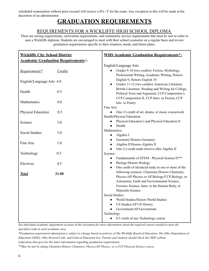scheduled examination without prior excusal will receive a 0% / F for the exam. Any exception to this will be made at the discretion of an administrator.

## **GRADUATION REQUIREMENTS**

#### REQUIREMENTS FOR A WICKLIFFE HIGH SCHOOL DIPLOMA

There are testing requirements, curriculum requirements, and community service requirements that must be met in order to earn a Wickliffe diploma. Students are encouraged to meet with their school counselor on a regular basis and review graduation requirements specific to their situation, needs, and future plans.

| <b>WHS Academic Graduation Requirements*:</b><br><b>Wickliffe City School District</b>                        |  |
|---------------------------------------------------------------------------------------------------------------|--|
| <b>Academic Graduation Requirements*:</b>                                                                     |  |
| English/Language Arts:                                                                                        |  |
| Grades 9-10 (two credits): Fiction, Mythology,<br>Requirements*<br>Credits                                    |  |
| Professional Writing, Academic Writing, Honors                                                                |  |
| English 9, Honors English 10<br>English/Language Arts 4.0<br>Grades 11-12 (two credits): American Literature, |  |
| British Literature, Reading and Writing for College,                                                          |  |
| Health<br>0.5<br>Political Texts and Argument, CCP Composition I,                                             |  |
| CCP Composition II, CCP Intro. to Fiction, CCP                                                                |  |
| Mathematics<br>4.0<br>Into. to Poetry                                                                         |  |
| Fine Arts:                                                                                                    |  |
| One (1) credit of art, drama, or music coursework<br>Physical Education<br>0.5<br>$\bullet$                   |  |
| Health/Physical Education:<br>Physical Education I and Physical Education II                                  |  |
| 3.0<br>Science<br>Health<br>$\bullet$                                                                         |  |
| Mathematics:                                                                                                  |  |
| <b>Social Studies</b><br>3.0<br>Algebra I<br>$\bullet$                                                        |  |
| Geometry/Honors Geometry                                                                                      |  |
| Fine Arts<br>1.0<br>Algebra II/Honors Algebra II                                                              |  |
| One (1) credit math elective after Algebra II<br>$\bullet$                                                    |  |
| Technology<br>0.5<br>Science:                                                                                 |  |
| Fundamentals of STEM - Physical Science/IT**<br>$\bullet$<br>Biology/Honors Biology                           |  |
| Electives<br>4.5<br>One credit of advanced study in one or more of the                                        |  |
| following sciences: Chemistry/Honors Chemistry,<br>21.00                                                      |  |
| <b>Total</b><br>Physics/AP Physics or AP Biology/CCP Biology, or                                              |  |
| Astronomy, Earth and Environmental Science,                                                                   |  |
| Forensic Science, Intro. to the Human Body, or                                                                |  |
| Materials Science                                                                                             |  |
| Social Studies:                                                                                               |  |
| World Studies/Honors World Studies<br>$\bullet$<br>US Studies/AP US History                                   |  |
| Government/AP Government<br>$\bullet$                                                                         |  |
| Technology                                                                                                    |  |
| 0.5 credit of any Technology course                                                                           |  |

*See individual academic department sections in this document for more information about the required courses needed to meet the specified credit in each academic area.*

*\*Graduation requirement information is subject to change based on policies of The Wickliffe Board of Education, The Ohio Department of Education (ODE), Ohio Revised Code, and Federal Education law. Parents and students should check the ODE website (education.ohio.gov) for the latest information regarding graduation requirements.*

*\*\*May be met by taking Chemistry/Honors Chemistry, Physics/AP Physics, or a CCP Physical Science course.*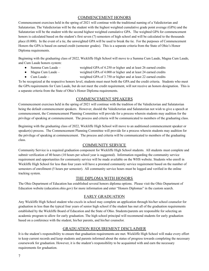#### COMMENCEMENT HONORS

Commencement exercises held in the spring of 2021 will continue with the traditional naming of a Valedictorian and Salutatorian. The Valedictorian will be the student with the highest weighted cumulative grade point average (GPA) and the Salutatorian will be the student with the second highest weighted cumulative GPA. The weighted GPA for commencement honors is calculated based on the student's first seven (7) semesters of high school and will be calculated to the thousands place (0.000). In the event of a tie, the unweighted GPA will be used to break the tie. For the purposes of Commencement Honors the GPA is based on earned credit (semester grades). This is a separate criteria from the State of Ohio's Honor Diploma requirements.

Beginning with the graduating class of 2022, Wickliffe High School will move to a Summa Cum Laude, Magna Cum Laude, and Cum Laude honors system:

- Summa Cum Laude weighted GPA of 4.250 or higher and at least 26 earned credits
- Magna Cum Laude weighted GPA of 4.000 or higher and at least 24 earned credits
- Cum Laude weighted GPA of 3.750 or higher and at least 22 earned credits

To be recognized at the respective honors level, students must meet both the GPA and the credit criteria. Students who meet the GPA requirements for Cum Laude, but do not meet the credit requirement, will not receive an honors designation. This is a separate criteria from the State of Ohio's Honor Diploma requirements.

#### COMMENCEMENT SPEAKERS

Commencement exercises held in the spring of 2021 will continue with the tradition of the Valedictorian and Salutatorian being the default commencement speakers. However, should the Valedictorian and Salutatorian not wish to give a speech at commencement, the Commencement Planning Committee will provide for a process wherein students may audition for the privilege of speaking at commencement. The process and criteria will be communicated to members of the graduating class.

Beginning with the graduating class of 2022, Wickliffe High School will move to an auditioned commencement speaker or speaker(s) process. The Commencement Planning Committee will provide for a process wherein students may audition for the privilege of speaking at commencement. The process and criteria will be communicated to members of the graduating class.

#### COMMUNITY SERVICE

Community Service is a required graduation component for Wickliffe High School students. All students must complete and submit verification of 40 hours (10 hours per school year is suggested). Information regarding the community service requirement and opportunities for community service will be made available on the WHS website. Students who enroll in Wickliffe High School for less than four years will have a prorated community service requirement based on the number of semesters of enrollment (5 hours per semester). All community service hours must be logged and verified in the online tracking system.

#### THE DIPLOMA WITH HONORS

The Ohio Department of Education has established several honors diploma options. Please visit the Ohio Department of Education website (education.ohio.gov) for more information and enter "Honors Diplomas" in the custom search.

#### EARLY GRADUATION

Any Wickliffe High School student who excels in school may complete an application through his/her school counselor for graduation in less than the typical four years of senior high school if the student has met all of the graduation requirements established by the Wickliffe Board of Education and the State of Ohio. Students/parents are responsible for selecting an academic program to allow for early graduation. The high school principal will recommend students for early graduation based on a conference with the student, his/her parents, and his/her counselor.

#### GRADUATION REQUIREMENT DISCLAIMER

It is the student's responsibility to ensure that graduation requirements are met. Wickliffe High School will make every effort to keep current records and keep students and parents informed about the status of progress towards completing the necessary coursework for graduation. However, it is the student's responsibility to be acquainted with and earn the necessary requirements for graduation.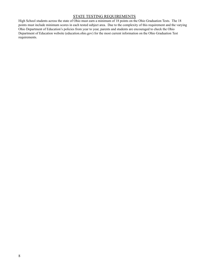#### STATE TESTING REQUIREMENTS

High School students across the state of Ohio must earn a minimum of 18 points on the Ohio Graduation Tests. The 18 points must include minimum scores in each tested subject area. Due to the complexity of this requirement and the varying Ohio Department of Education's policies from year to year, parents and students are encouraged to check the Ohio Department of Education website (education.ohio.gov) for the most current information on the Ohio Graduation Test requirements.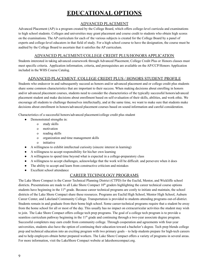## **EDUCATIONAL OPTIONS**

#### ADVANCED PLACEMENT

Advanced Placement (AP) is a program created by the [College](https://en.wikipedia.org/wiki/College_Board) Board, which offers college-level [curricula](https://en.wikipedia.org/wiki/Curriculum) and examinations to high [school](https://en.wikipedia.org/wiki/High_school) students. Colleges and universities may grant placement and [course](https://en.wikipedia.org/wiki/Course_credit) credit to students who obtain high scores on the examinations. The AP curriculum for each of the various subjects is created for the College Board by a panel of experts and college-level educators in that field of [study](https://en.wikipedia.org/wiki/Discipline_(academia)). For a high school course to have the designation, the course must be audited by the College Board to ascertain that it satisfies the AP curriculum.

#### ADVANCED PLACEMENT/COLLEGE CREDIT PLUS/HONORS APPLICATION

Students interested in taking advanced coursework through Advanced Placement, College Credit Plus or Honors classes must meet specific criteria. Application information, criteria, and prerequisites are available on the AP/CCP/Honors Application included in the WHS Course Catalog.

#### ADVANCED PLACEMENT /COLLEGE CREDIT PLUS / HONORS STUDENT PROFILE

Students who endeavor in and subsequently succeed as honors and/or advanced placement and or college credit plus students share some common characteristics that are important to their success. When making decisions about enrolling in honors and/or advanced placement courses, students need to consider the characteristics of the typically successful honors/advanced placement student and make decisions about enrollment based on self-evaluation of their skills, abilities, and work ethic. We encourage all students to challenge themselves intellectually, and at the same time, we want to make sure that students make decisions about enrollment in honors/advanced placement courses based on sound information and careful consideration.

Characteristics of a successful honors/advanced placement/college credit plus student

- Demonstrated strengths in:
	- o study skills
	- o motivation
	- o reading skills
	- o organization and time management skills
	- o initiative
- A willingness to exhibit intellectual curiosity (sincere interest in learning)
- A willingness to accept responsibility for his/her own learning
- A willingness to spend time beyond what is expected in a college-preparatory class
- A willingness to accept challenges, acknowledge that the work will be difficult. and persevere when it does
- The ability to accept and learn from constructive criticism and mistakes
- Excellent school attendance

#### CAREER TECHNOLOGY PROGRAMS

The Lake Shore Compact is the Career Technical Planning District (CTPD) for the Euclid, Mentor, and Wickliffe school districts. Presentations are made to all Lake Shore Compact  $10<sup>th</sup>$  graders highlighting the career technical course options students have beginning in the  $11<sup>th</sup>$  grade. Because career technical programs are costly to initiate and maintain, the school districts of the Lake Shore Compact share these resources. Programs are Euclid High School, Mentor High School, Auburn Career Center, and Lakeland Community College. Transportation is provided to students attending programs out-of-district. Students remain in and graduate from their home high school. Some career-technical programs require that a student be away from the home school for all or most of the day. This usually has no impact on extracurricular activities the student may wish to join. The Lake Shore Compact offers college tech prep programs. The goal of a college tech program is to provide a seamless curriculum pathway beginning in the  $11<sup>th</sup>$  grade and continuing through a two-year associate degree program. Successful completers may earn credit from community college. Through cooperation and agreements with four-year universities, students also have the option of continuing their education toward a bachelor's degree. Tech prep blends college prep and technical education into an exciting program with two primary goals – to help students prepare for high-tech careers and to help employers obtain better prepared workers. The Lake Shore Compact offers a variety of programs in several areas. For more information, visit the LakeShore Compact website at lakeshorecompact.org.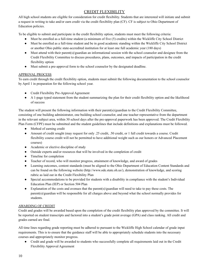#### CREDIT FLEXIBILITY

All high school students are eligible for consideration for credit flexibility. Students that are interested will initiate and submit a request in writing to take and/or earn credit via the credit flexibility plan (CF). CF is subject to Ohio Department of Education policies.

To be eligible to submit and participate in the credit flexibility option, students must meet the following criteria:

- Must be enrolled as a full-time student (a minimum of five (5) credits) within the Wickliffe City School District
- Must be enrolled as a full-time student and be in good academic standing within the Wickliffe City School District or another Ohio public state-accredited institution for at least one full academic year (180 days)
- Must attend with their parent(s)/guardian an informational session with the school counselor and designee from the Credit Flexibility Committee to discuss procedures, plans, outcomes, and impacts of participation in the credit flexibility option
- Must submit a pre-approval form to the school counselor by the designated deadline.

#### APPROVAL PROCESS

To earn credit through the credit flexibility option, students must submit the following documentation to the school counselor by April 1 in preparation for the following school year.

- Credit Flexibility Pre-Approval Agreement
- A 1-page typed statement from the student summarizing the plan for their credit flexibility option and the likelihood of success

The student will present the following information with their parent(s)/guardian to the Credit Flexibility Committee, consisting of one building administrator, one building school counselor, and one teacher representative from the department in the relevant subject area, within 30 school days after the pre-approval paperwork has been approved. The Credit Flexibility Plan Form (CFPF) must be submitted and the student guidelines that include definitions and explanations must be followed.

- Method of earning credit
- Amount of credit sought (may request for only .25 credit, .50 credit, or 1 full credit towards a course. Credit flexibility course credit will not be permitted to have additional weight such as our honors or Advanced Placement courses)
- Academic or elective discipline of study
- Outside experts and/or resources that will be involved in the completion of credit
- Timeline for completion
- Teacher of record, who will monitor progress, attainment of knowledge, and award of grades
- Learning outcomes, content standards (must be aligned to the Ohio Department of Education Content Standards and can be found on the following website (http://www.ode.state.oh.us/), demonstration of knowledge, and scoring rubric as laid out in the Credit Flexibility Plan
- Special accommodations to be provided for students with a disability in compliance with the student's Individual Education Plan (IEP) or Section 504 Plan
- Explanation of the costs and avenues that the parent(s)/guardian will need to take to pay these costs. The parent(s)/guardian will be responsible for all charges above and beyond what the school normally provides for students.

#### AWARDING OF CREDIT

Credit and grades will be awarded based upon the completion of the credit flexibility plan approved by the committee. It will be reported on student transcripts and factored into a student's grade point average (GPA) and class ranking. All credit and grades earned are final.

All time lines regarding grade reporting must be adhered to pursuant to the Wickliffe High School calendar of grade input requirements. This is to ensure that the guidance staff will be able to appropriately schedule students into the necessary courses and appropriately monitor progress.

Credit and grade will be awarded to students who successfully complete all requirements laid out in the Credit Flexibility Approval Agreement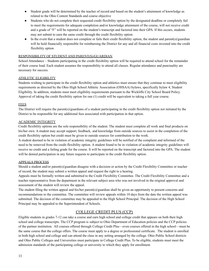- Student grade will be determined by the teacher of record and based on the student's attainment of knowledge as related to the Ohio Content Standards and course objective
- Students who do not complete their requested credit flexibility option by the designated deadline or completely fail to meet the requirements for adequate completion and/or knowledge attainment of the course, will not receive credit and a grade of "F" will be reported on the student's transcript and factored into their GPA. If this occurs, students may not submit to earn the same credit through the credit flexibility option
- In the event that a student does not complete or fails their credit flexibility option, the student and parent(s)/guardian will be held financially responsible for reimbursing the District for any and all financial costs invested into the credit flexibility option

#### RESPONSIBILITY OF STUDENT AND PARENT(S)/GUARDIAN

School Attendance – Students participating in the credit flexibility option will be required to attend school for the remainder of their course load. Each student assumes the responsibility to attend all classes. Regular attendance and punctuality are necessary for success.

#### ATHLETIC ELIGIBILITY

Students wishing to participate in the credit flexibility option and athletics must ensure that they continue to meet eligibility requirements as directed by the Ohio High School Athletic Association (OHSAA) bylaws, specifically bylaw 4, Student Eligibility. In addition, students must meet eligibility requirements pursuant to the Wickliffe City School Board Policy. Approval of taking the credit flexibility option for one (1) credit will be equivalent to taking a full year course.

#### FEES

The District will require the parent(s)/guardians of a student participating in the credit flexibility option not initiated by the District to be responsible for any additional fees associated with participation in that option.

#### ACADEMIC INTEGRITY

Credit flexibility options are the sole responsibility of the student. The student must complete all work and final products on his/her own. A student may accept support, feedback, and knowledge from outside sources to assist in the completion of the credit flexibility option but credit must be given to outside sources for contribution to the work.

A student deemed to be in violation of academic integrity guidelines will be notified of the complaint and informed of the need to be removed from the credit flexibility option. A student found to be in violation of academic integrity guidelines will receive no credit and a failing grade for the course. It will be reported on the transcript and factored into the GPA. The student will be denied participation in any future requests to participate in the credit flexibility option.

#### APPEALS PROCESS

Should a student and/or parent(s)/guardian disagree with a decision or action by the Credit Flexibility Committee or teacher of record, the student may submit a written appeal and request the right to a hearing.

Appeals must be formally written and submitted to the Credit Flexibility Committee. The Credit Flexibility Committee and a teacher representative from the department in the relevant subject area who was not involved in the original approval and assessment of the student will review the appeal.

The student filing the written appeal and his/her parent(s)/guardian shall be given an opportunity to present concerns and recommendations to the committee. The committee will review appeals within 10 days from the date the written appeal was submitted. The decision of the committee may be appealed to the High School Principal. The decision of the High School Principal may be appealed to the Superintendent of Schools.

#### COLLEGE CREDIT PLUS (CCP)

Eligible students in grades 7-12 can take a course and earn high school and college credit that appears on both their high school and college transcripts. The CCP program is subject to Ohio Department of Education policies and the CCP policies of the partner institution. All courses offered through College Credit Plus—even courses offered in the high school—must be the same course that the college offers. The course must apply to a degree or professional certificate. The student is enrolled in both high school and college and can attend the class in any setting arranged by the college. Ohio Public School districts and Ohio Public Colleges and Universities must participate in College Credit Plus. To be eligible, students must meet the admission standards of the participating college or university to which they apply for enrollment.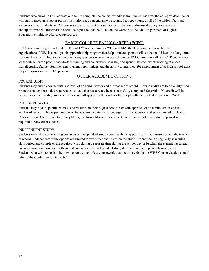Students who enroll in CCP courses and fail to complete the course, withdraw from the course after the college's deadline, or who fail to meet any state or partner institution requirements may be required to repay some or all of the tuition, fees, and textbook costs. Students in CCP courses are also subject to a state-wide probation or dismissal policy for academic underperformance. Information about these policies can be found on the website of the Ohio Department of Higher Education: ohiohighered.org/ccp/resources

#### EARLY COLLEGE EARLY CAREER (ECEC)

ECEC is a joint program offered to  $11<sup>th</sup>$  and  $12<sup>th</sup>$  graders through WHS and MAGNET in conjunction with other organizations. ECEC is a paid youth apprenticeship program that helps students gain a skill set that could lead to a long-term, sustainable career in high-tech manufacturing. Students who are accepted into the ECEC program will take CCP courses at a local college, participate in face-to-face training and coursework at WHS, and spend time each week working at a local manufacturing facility. Summer employment opportunities and the ability to interview for employment after high school exist for participants in the ECEC program.

#### OTHER ACADEMIC OPTIONS

#### COURSE AUDIT

Students may audit a course with approval of an administrator and the teacher of record. Course audits are traditionally used when the student has a desire to retake a course that has already been successfully completed for credit. No credit will be earned in a course audit, however, the course will appear on the students transcript with the grade designation of "AU".

#### COURSE RETAKES

Students may retake specific courses several times in their high school career with approval of an administrator and the teacher of record. This is permissible as the academic content changes significantly. Course retakes are limited to: Band, Cardio Fitness, Choir, Essential Study Skills, Exploring Music, Plyometric Conditioning. Administrative approval is required for any other courses.

#### INDEPENDENT STUDY

Students may take a pre-existing course as an independent study course with the approval of an administrator and the teacher of record. Independent study options are limited to two situations: a) when the student cannot be in a regularly scheduled class period and completes the required work during a separate time during the school day or b) when the student has already taken a course and now re-enrolls in that course with the independent study designation to complete advanced work. Students who wish to design their own course or complete coursework that does not exist in the WHS Course Catalog should refer to the Credit Flexibility section.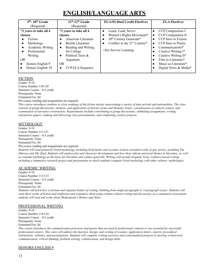## **ENGLISH/LANGUAGE ARTS**

| $9th$ - 10 <sup>th</sup> Grade<br>(Required)                                                                                                             | $11th - 12th$ Grade<br>(Required)                                                                                                                                                                                 | <b>ELA/SS Dual Credit Electives</b>                                                                                                               | <b>ELA Electives</b>                                                                                                                                                                                                                    |
|----------------------------------------------------------------------------------------------------------------------------------------------------------|-------------------------------------------------------------------------------------------------------------------------------------------------------------------------------------------------------------------|---------------------------------------------------------------------------------------------------------------------------------------------------|-----------------------------------------------------------------------------------------------------------------------------------------------------------------------------------------------------------------------------------------|
| *2 years to take all 4<br>classes:<br>Fiction<br>Mythology<br>Academic Writing<br>Professional<br>Writing<br>OR<br>Honors English 9<br>Honors English 10 | *2 years to take all 4<br>classes<br>American Literature<br><b>British Literature</b><br>Reading and Writing<br>$\bullet$<br>for College<br>Political Texts &<br>Argument<br>OR.<br>CCP ELA Sequence<br>$\bullet$ | Learn, Lead, Serve+<br>Women's Rights Movement*<br>20 <sup>th</sup> Century Genocide*<br>Conflict in the $21st$ Century*<br>+See Service Learning | <b>CCP</b> Composition I<br>CCP Composition II<br>CCP Intro to Fiction<br>CCP Intro to Poetry<br>Communications*<br>Creative Writing I*<br>Creative Writing II*<br>Film as Literature*<br>Music as Literature*<br>Digital News & Media* |

#### FICTION

Grades: 9-10 Course Number 110/120 Semester Course – 0.5 credit Prerequisite: None Estimated Fee: \$4 Pre-course reading and assignments are required

*This course introduces students to close readings of the fiction variety representing a variety of time periods and nationalities. The class consists of group discussions, analysis, and application of literary terms and thematic issues, consideration of cultural context, and examination of narrative construction. Requirements include contributing to group discussions, submitting assignments, writing interpretive papers, making and delivering class presentations, and completing creative projects.*

#### MYTHOLOGY

Grades: 9-10 Course Number 111/121 Semester Course – 0.5 credit Prerequisite: None Estimated Fee: \$4 Pre-course reading and assignments are required

*Students will read primarily Greek mythology, including brief myths and excerpts of more extended works of epic poetry, including The Odyssey and The Iliad. Students will analyze plot and character development and how these inform universal themes in literature, as well as consider mythology as the basis for literature and culture generally. Writing will include frequent, brief, evidence-based writing,* including a summative research project and presentation in which students compare Greek mythology with other *cultures'* mythologies.

#### ACADEMIC WRITING

Grades: 9-10 Course Number 113/123 Semester Course – 0.5 credit Prerequisite: None Estimated Fee: \$4 *Students will learn how to format and organize bodies of writing, building from single paragraphs to 5-paragraph essays. Students will read short works of fiction and nonfiction and respond to them using evidence-based writing and discussion; as a summative assessment, students will read and write about Shakespeare's Romeo and Juliet.*

#### PROFESSIONAL WRITING

Grades: 9-10 Course Number 114/124 Semester Course – 0.5 credit Prerequisite: None Estimated Fee: \$4

*This course introduces the communication processes and genres that are used in professional contexts or are essential for successful professional careers. This class will address the function, design, and writing of resumes, application letters, reports, procedural instructions, websites, and presentations. Students will complete writing exercises and contextualized projects to develop written/oral communication, critical thinking, problem solving, collaboration, and design skills.*

#### HONORS ENGLISH 9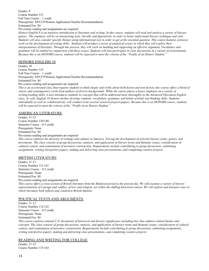Grades: 9 Course Number 115 Full Year Course – 1 credit Prerequisite: AP/CCP/Honors Application/Teacher Recommendation Estimated Fee: \$4 Pre-course reading and assignments are required

*Honors English 9 is an intensive introduction to literature and writing. In this course, students will read and analyze a variety of literary genres. The emphasis will be on interpreting texts, literally and figuratively, in order to better understand literary technique and style. Students will also consider specific themes using informational text in order to get at the essential question. This course features extensive work on the development of writing skills. Students will produce a series of analytical essays in which they will explore their interpretations of literature. Through this process, they will work on building and supporting an effective argument. Vocabulary and grammar will be studied in conjunction with these essays. Students will also participate in class discussions in a variety of environments. Because this is an HONORS course, students will be expected to meet the criteria of the "Profile of an Honors Student."*

#### HONORS ENGLISH 10

Grades: 10 Course Number 125 Full Year Course – 1 credit Prerequisite: AP/CCP/Honors Application/Teacher Recommendation Estimated Fee: \$4 Pre-course reading and assignments are required

*This is an accelerated class that requires students to think deeply and richly about both fiction and non-fiction, this course offers a blend of classic and contemporary works from authors of diverse backgrounds. While the course places a heavy emphasis on a variety of writing/reading skills, it also introduces students to concepts that will be addressed more thoroughly in the Advanced Placement English class. As well, English 10 Honors further develops students' vocabulary, grammar, and habits of mind and thinking skills. Students,* individually as well as collaboratively, will conduct/write several research projects/papers. Because this is an HONORS course, students *will be expected to meet the criteria of the "Profile of an Honors Student."*

#### AMERICAN LITERATURE

Grades: 11-12 Course Number 130/140 Semester Course – 0.5 credit Prerequisite: None Estimated Fee: \$4 Pre-course reading and assignments are required

*This course explores the diversity of writings and cultures in America. Tracing the development of selected literary styles, genres, and movements. The class consists of group discussions, analysis, and application of literary terms and thematic issues, consideration of cultural context, and examination of narrative construction. Requirements include contributing to group discussions, submitting assignments, writing interpretive papers, making and delivering class presentations, and completing creative projects.*

#### BRITISH LITERATURE

Grades: 11-12 Course Number 131/141 Semester Course – 0.5 credit Prerequisite: None Estimated Fee: \$4 Pre-course reading and assignments are required

*This course offers a cross section of British literature from the Medieval period to the present day. We will examine a variety of literary representations of courage and conflict, of love and religion, set within the shifting historical context. We will explore and interpret ways in which literature both reflects and constructs British Identity.*

#### POLITICAL TEXTS AND ARGUMENTS

Grades: 11-12 Course Number 132/142 Semester Course – 0.5 credit Prerequisite: None Estimated Fee: \$4

*This course explores seminal U.S. documents of historical and literary significance including how they address related themes and concepts. The class consists of group discussions, analysis, and application of literary terms and thematic issues, consideration of cultural context, and examination of narrative construction. Requirements include contributing to group discussions, submitting assignments, writing interpretive papers, making and delivering class presentations, and completing creative projects.*

#### READING AND WRITING FOR COLLEGE

Grades: 11-12 Course Number 133/143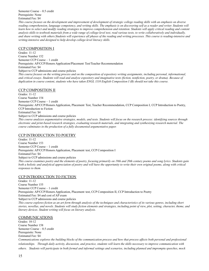Semester Course – 0.5 credit Prerequisite: None Estimated Fee: \$4

*This course focuses on the development and improvement of development of strategic college reading skills with an emphasis on diverse reading comprehension, language competency, and writing skills. The emphasis is on discovering self as a reader and writer. Students will learn how to select and modify reading strategies to improve comprehension and retention. Students will apply critical reading and content analysis skills to textbook materials from a wide range of college-level text, read various texts, to write collaboratively and individually, and share writing with others.Students will experience all phases of the reading and writing processes. This course is reading-intensive and writing-intensive and designed to help develop college-level literacy skills.*

#### CCP COMPOSITION I

Grades: 11-12 Course Number 152 Semester CCP Course – 1 credit Prerequisite: AP/CCP/Honors Application/Placement Test/Teacher Recommendation Estimated Fee: \$4 Subject to CCP admissions and course policies *This course focuses on the writing process and on the composition of expository writing assignments, including personal, informational, and critical essays. Students will read and analyze expository and imaginative texts (fiction, nonfiction, poetry, or drama). Because of*

*duplication in course content, students who have taken ENGL 1110 English Composition I (B) should not take this course.*

#### CCP COMPOSITION II

Grades: 11-12 Course Number 154 Semester CCP Course – 1 credit Prerequisite: AP/CCP/Honors Application, Placement Test, Teacher Recommendation, CCP Composition I, CCP Introduction to Poetry, CCP Introduction to Fiction Estimated Fee: \$4 Subject to CCP admissions and course policies *This course analyzes argumentative strategies, models, and texts. Students will focus on the research process: identifying sources through electronic and print-based research strategies, evaluating research materials, and integrating and synthesizing research material. The course culminates in the production of a fully documented argumentative paper.*

#### CCP INTRODUCTION TO POETRY

Grades: 11-12 Course Number 153 Semester CCP Course – 1 credit Prerequisite: AP/CCP/Honors Application, Placement test, CCP Composition I Estimated Fee: \$4 Subject to CCP admissions and course policies *This course examines poetry and the elements of poetry, focusing primarily on 19th and 20th century poems and song lyrics. Students gain both a holistic and analytical appreciation of poetry and will have the opportunity to write their own original poems, along with critical responses to them.*

#### CCP INTRODUCTION TO FICTION

Grades: 11-12 Course Number 155 Semester CCP Course – 1 credit Prerequisite: AP/CCP/Honors Application, Placement test, CCP Composition II, CCP Introduction to Poetry Estimated Fee: \$4 and cost of AP exam Subject to CCP admissions and course policies *This course explores fiction as an art form through analysis of the techniques and characteristics of its various genres, including short stories, novellas, and novels. Students will study fiction elements and strategies, including point of view, plot, setting, character, theme, and literary devices. Student writing will focus on literary analysis.*

#### COMMUNICATIONS

Grades: 10-12 Course Number 158 Semester Course – 0.5 credit Prerequisite: None Estimated Fee: \$4 *Communications explores the building blocks of the communication process and how that process affects both personal and professional relationships. Through daily activity, discussion, and practice, students will learn the skills necessary to improve communication with others. Students will participate in both formal and informal settings and scenarios, including planned and impromptu speeches, mock*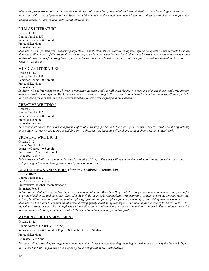*interviews, group discussion, and interpretive readings. Both individually and collaboratively, students will use technology to research, create, and deliver visual presentations. By the end of the course, students will be more confident and poised communicators, equipped for future personal, collegiate, and professional interactions.*

#### FILM AS LITERATURE

Grades: 11-12 Course Number 150 Semester Course – 0.5 credit Prerequisite: None Estimated Fee: \$4 *Students will analyze film from a literary perspective. As such, students will learn to recognize, explain the effects of, and recreate technical elements of film. Works of film are analyzed according to artistic and technical merits. Students will be expected to write movie reviews and analytical essays about film using terms specific to the medium. Be advised that excerpts of some films viewed and studied in class are rated PG-13 and R.*

#### MUSIC AS LITERATURE

Grades: 11-12 Course Number 151 Semester Course – 0.5 credit Prerequisite: None Estimated Fee: \$4 *Students will analyze music from a literary perspective. As such, students will learn the basic vocabulary of music theory and some history associated with various genres. Works of music are analyzed according to literary merits and historical context. Students will be expected to write music reviews and analytical essays about music using terms specific to the medium.*

#### CREATIVE WRITING I

Grades: 9-12 Course Number 135 Semester Course – 0.5 credit Prerequisite: None Estimated Fee: \$4 *This course introduces the theory and practice of creative writing, particularly the genre of short stories. Students will have the opportunity to complete various writing exercises and four or five short stories. Students will read and critique their own and others' work.*

#### CREATIVE WRITING II

Grades: 9-12 Course Number 136 Semester Course – 0.5 credit Prerequisite: Creative Writing I Estimated Fee: \$4 *This course will build on techniques learned in Creative Writing I. The class will be a workshop with opportunities to write, share, and critique original work including drama, poetry, and short stories.*

#### DIGITAL NEWS AND MEDIA (formerly Yearbook + Journalism)

Grades: 10-12 Course Number 157 Full Year Course 1 credit Prerequisite: Teacher Recommendation Estimated Fee: \$4

*In this course, students will produce the yearbook and maintain the Wick Leaf Blog while learning to communicate in a variety of forms for a variety of audiences and purposes. Units of study include teamwork, responsibility, brainstorming, content, coverage, concept, reporting, writing, headlines, captions, editing, photography, typography, design, graphics, finances, campaigns, advertising, and distribution. Students will learn how to conduct an interview, develop quality-questioning techniques, and write in journalistic style. They will learn to objectively express events with an emphasis on journalism ethics, independence, accuracy, impartiality and truth. These publications strive to maintain a tradition of excellence in which the school and the community can take pride.*

#### WOMEN'S RIGHTS MOVEMENT

Grades: 11-12 Course Number 145 (ELA), 245 (SS) Semester Course – 0.5 credit of English/0.5 credit of Social Studies Prerequisite: None Estimated Fee: None *The class will explore the female gender role in the United States since its founding, focusing in particular on the way the Women's Rights Movement has both shaped and been shaped by the development of the United States.*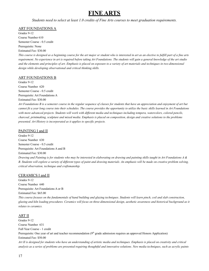## **FINE ARTS**

*Students need to select at least 1.0 credits of Fine Arts courses to meet graduation requirements.*

#### ART FOUNDATIONS A

Grades 9-12 Course Number 610 Semester Course - 0.5 credit Prerequisite: None Estimated Fee: \$30.00

*This course is designed as a beginning course for the art major or student who is interested in art as an elective to fulfill part of a fine arts requirement. No experience in art is required before taking Art Foundations. The students will gain a general knowledge of the art studio and the elements and principles of art. Emphasis is placed on exposure to a variety of art materials and techniques in two-dimensional design while developing observational and critical thinking skills.*

#### ART FOUNDATIONS B

Grades 9-12 Course Number 620 Semester Course - 0.5 credit Prerequisite: Art Foundations A Estimated Fee: \$30.00

*Art Foundations B is a semester course in the regular sequence of classes for students that have an appreciation and enjoyment of art but cannot fit a year long course into their schedules. The course provides the opportunity to utilize the basic skills learned in Art Foundations with more advanced projects. Students will work with different media and techniques including tempera, watercolors, colored pencils, charcoal, printmaking, sculpture and mixed media. Emphasis is placed on composition, design and creative solutions to the problems presented. Art History is incorporated as it applies to specific projects.*

#### PAINTING I and II

Grades 9-12 Course Number 630 Semester Course - 0.5 credit Prerequisite: Art Foundations A and B Estimated Fee: \$30.00 *Drawing and Painting is for students who may be interested in elaborating on drawing and painting skills taught in Art Foundations A & B. Students will explore a variety of different types of paint and drawing materials. An emphasis will be made on creative problem solving, critical observation, technique and craftsmanship.*

#### CERAMICS I and II

Grades 9-12 Course Number 640 Prerequisite: Art Foundations A or B Estimated Fee: \$65.00 *This course focuses on the fundamentals of hand building and glazing techniques. Students will learn pinch, coil and slab construction, glazing and kiln loading procedures. Ceramics will focus on three-dimensional design, aesthetic awareness and historical background as it relates to ceramics.*

#### ART II

Grades 9-12 Course Number 631 Full Year Course - 1 credit Prerequisite: One year of art and teacher recommendation  $(9<sup>th</sup>$  grade admission requires an approved Honors Application) Estimated Fee: \$50.00 *Art II is designed for students who have an understanding of artistic media and techniques. Emphasis is placed on creativity and critical analysis as a series of problems are presented requiring thoughtful and innovative solutions. New media techniques, such as acrylic paints*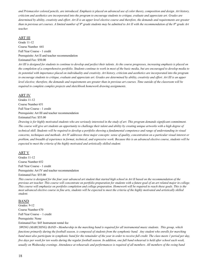*and Prismacolor colored pencils, are introduced. Emphasis is placed on advanced use of color theory, composition and design. Art history, criticism and aesthetics are incorporated into the program to encourage students to critique, evaluate and appreciate art. Grades are determined by ability, creativity and effort. Art II is an upper level elective course and therefore, the demands and requirements are greater than in previous art courses. A limited number of 9 th grade students may be admitted to Art II with the recommendation of the 8th grade Art teacher.*

#### ART III

Grade 11-12 Course Number 641 Full Year Course - 1 credit Prerequisite: Art II and teacher recommendation Estimated Fee: \$50.00

*Art III is designed for students to continue to develop and perfect their talents. As the course progresses, increasing emphasis is placed on the completion of a comprehensive portfolio. Students continue to work in most of the basic media, but are encouraged to develop media to its potential with importance placed on individuality and creativity. Art history, criticism and aesthetics are incorporated into the program to encourage students to critique, evaluate and appreciate art. Grades are determined by ability, creativity and effort. Art III is an upper level elective; therefore, the demands and requirements are greater than in previous art courses. Time outside of the classroom will be required to complete complex projects and sketchbook homework drawing assignments.*

#### ART IV

Grades 11-12 Course Number 651 Full Year Course - 1 credit Prerequisite: Art III and teacher recommendation Estimated Fee: \$55.00

*Drawing is for highly motivated students who are seriously interested in the study of art. This program demands significant commitment. The course will give art students an opportunity to challenge their talent and ability by creating unique artworks with a high degree of technical skill. Students will be required to develop a portfolio showing a fundamental competence and range of understanding in visual concerns, techniques and methods. Art IV addresses three major concepts: sense of quality, concentration on a particular visual interest or problem, and breadth of experience in format, technical, and expressive work. Because this is an advanced elective course, students will be expected to meet the criteria of the highly motivated and artistically skilled student.*

#### ART V

Grades 11-12 Course Number 652 Full Year Course - 1 credit Prerequisite: Art IV and teacher recommendation Estimated Fee: \$55.00

*This course is designed for the four year advanced art student that started high school in Art II based on the recommendation of the previous art teacher. This course will concentrate on portfolio preparation for students with a future goal of an art related major in college. This course will emphasize on portfolio completion and college preparation. Homework will be required to reach these goals. This is the most advanced elective course in fine arts, students will be expected to meet the criteria of the highly motivated and artistically skilled student.*

#### BAND

Grades: 9-12 Course Number 670 Full Year Course – 1 credit Prerequisite: None Estimated Fee: \$45 Instrument rental fee

*SWING (MARCHING) BAND - Membership in the marching band is required for all instrumental music students. This group, which functions primarily during the football season, is composed of students from the symphonic band. Any student who enrolls for marching band must also participate in symphonic band for the remainder of the year in order to receive full credit. The class meets 1 period per day, five days per week for ten weeks during the regular football season. In addition, one full band rehearsal is held after school each week, usually on Wednesday evenings. Attendance at rehearsals and performances is required of all members. All members of the swing band*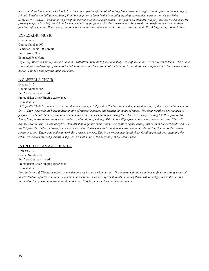*must attend the band camp, which is held prior to the opening of school. Marching band rehearsals begin 3 weeks prior to the opening of school. Besides football games, Swing Band participates in band festivals, holiday lighting ceremonies, parades and Cedar Point. SYMPHONIC BAND - Functions as part of the instrumental music curriculum. It is open to all students who play musical instruments. Its primary purpose is to help musicians become technically proficient with their instruments. Rehearsals and performances are required functions of Symphonic Band. The group rehearses all varieties of music, performs at all concerts and OMEA large group competitions*.

#### EXPLORING MUSIC

Grades: 9-12 Course Number 660 Semester Course – 0.5 credit Prerequisite: None Estimated Fee: None *Exploring Music is a survey music course that will allow students to focus and study areas of music that are of interest to them. The course is meant for a wide-range of students including those with a background of study in music and those who simply want to learn more about music. This is a non-performing music class.*

#### A CAPPELLA CHOIR

Grades: 9-12 Course Number 665 Full Year Course – 1 credit Prerequisite: Choir/Singing experience Estimated Fee: \$10

*A Cappella Choir is a select vocal group that meets one period per day. Students review the physical makeup of the voice and how to care for it. They work with the basic understanding of musical concepts and written language of music. The choir members are required to perform at scheduled concerts as well as command performances arranged during the school year. They will sing SATB (Soprano, Alto, Tenor, Bass) music literature as well as other combinations of voicing. This choir will perform four to ten concerts per year. They will explore several eras of musical styles. Students should get the choir director's signature before adding this class to their schedule or be on the list from the students chosen from mixed choir. The Winter Concert is the first semester exam and the Spring Concert is the second semester exam. There is no make up work for a missed concert. This is a performance-based class. Grading procedures, including the school year calendar and permission slip, will be sent home at the beginning of the school year.*

#### INTRO TO DRAMA & THEATER

Grades: 9-12 Course Number 650 Full Year Course – 1 credit Prerequisite: Choir/Singing experience Estimated Fee: \$10

*Intro to Drama & Theater is a fine art elective that meets one period per day. This course will allow students to focus and study areas of theater that are of interest to them. The course is meant for a wide-range of students including those with a background in theater and those who simply want to learn more about theater. This is a non-performing theater course.*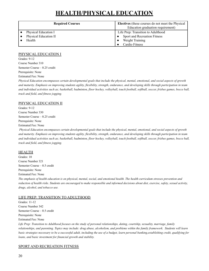## **HEALTH/PHYSICAL EDUCATION**

| <b>Required Courses</b> | <b>Electives</b> (these courses do not meet the Physical<br>Education graduation requirement) |
|-------------------------|-----------------------------------------------------------------------------------------------|
| Physical Education I    | Life Prep: Transition to Adulthood                                                            |
| Physical Education II   | Sport and Recreation Fitness                                                                  |
| Health                  | Weight Training                                                                               |
|                         | <b>Cardio Fitness</b>                                                                         |

#### PHYSICAL EDUCATION I

Grades: 9-12 Course Number 310 Semester Course – 0.25 credit Prerequisite: None Estimated Fee: None

*Physical Education encompasses certain developmental goals that include the physical, mental, emotional, and social aspects of growth and maturity. Emphasis on improving students agility, flexibility, strength, endurance, and developing skills through participation in team and individual activities such as; basketball, badminton, floor hockey, volleyball, touch football, softball, soccer, frisbee games, bocce ball, track and field, and fitness jogging.*

#### PHYSICAL EDUCATION II

Grades: 9-12 Course Number 330 Semester Course – 0.25 credit Prerequisite: None Estimated Fee: None

*Physical Education encompasses certain developmental goals that include the physical, mental, emotional, and social aspects of growth and maturity. Emphasis on improving students agility, flexibility, strength, endurance, and developing skills through participation in team and individual activities such as; basketball, badminton, floor hockey, volleyball, touch football, softball, soccer, frisbee games, bocce ball, track and field, and fitness jogging.*

#### HEALTH

Grades: 10 Course Number 321 Semester Course – 0.5 credit Prerequisite: None Estimated Fee: None *The emphasis of health education is on physical, mental, social, and emotional health. The health curriculum stresses prevention and reduction of health risks. Students are encouraged to make responsible and informed decisions about diet, exercise, safety, sexual activity, drugs, alcohol, and tobacco use.*

#### LIFE PREP: TRANSITION TO ADULTHOOD

Grades: 11-12 Course Number 342 Semester Course – 0.5 credit Prerequisite: None Estimated Fee: None *Life Prep: Transition to Adulthood focuses on the study of personal relationships, dating, courtship, sexuality, marriage, family relationships, and parenting. Topics may include: drug abuse, alcoholism, and problems within the family framework. Students will learn basic strategies necessary to be a successful adult, including the use of a budget, learn personal banking,establishing credit, qualifying for*

#### SPORT AND RECREATION FITNESS

*loans, and basic investment for financial growth and stability.*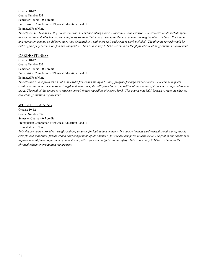Grades: 10-12 Course Number 331 Semester Course – 0.5 credit Prerequisite: Completion of Physical Education I and II Estimated Fee: None *This class is for 11th and 12th graders who want to continue taking physical education as an elective. The semester would include sports and recreation activities interwoven with fitness routines that have proven to be the most popular among the older students. Each sport and recreation activity would have more time dedicated to it with more skill and strategy work included. The ultimate reward would be skilled game play that is more fun and competitive. This course may NOT be used to meet the physical education graduation requirement.*

#### CARDIO FITNESS

Grades: 10-12 Course Number 333 Semester Course – 0.5 credit Prerequisite: Completion of Physical Education I and II Estimated Fee: None

*This elective course provides a total body cardio fitness and strength-training program for high school students. The course impacts cardiovascular endurance, muscle strength and endurance, flexibility and body composition of the amount of fat one has compared to lean tissue. The goal of this course is to improve overall fitness regardless of current level. This course may NOT be used to meet the physical education graduation requirement.*

#### WEIGHT TRAINING

Grades: 10-12 Course Number 332 Semester Course – 0.5 credit Prerequisite: Completion of Physical Education I and II Estimated Fee: None

*This elective course provides a weight-training program for high school students. The course impacts cardiovascular endurance, muscle strength and endurance, flexibility and body composition of the amount of fat one has compared to lean tissue. The goal of this course is to improve overall fitness regardless of current level, with a focus on weight-training safety. This course may NOT be used to meet the physical education graduation requirement.*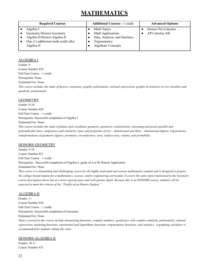## **MATHEMATICS**

| <b>Required Courses</b>                                                                                                     | <b>Additional Courses - 1 credit</b>                                                                                   | <b>Advanced Options</b>                      |
|-----------------------------------------------------------------------------------------------------------------------------|------------------------------------------------------------------------------------------------------------------------|----------------------------------------------|
| Algebra I<br>Geometry/Honors Geometry<br>Algebra II/Honors Algebra II<br>One (1) additional math credit after<br>Algebra II | Math Topics<br><b>Math Applications</b><br>Data, Analysis, and Statistics<br>Trigonometry<br><b>Algebraic Concepts</b> | Honors Pre-Calculus<br><b>AP Calculus AB</b> |
|                                                                                                                             |                                                                                                                        |                                              |

#### ALGEBRA I

Grades: 9 Course Number 410 Full Year Course – 1 credit Prerequisite: None Estimated Fee: None *This course includes the study of factors, exponents, graphs, polynomials, rational expressions, graphs of sentences in two variables and quadratic polynomials.*

#### **GEOMETRY**

Grades: 9-10 Course Number 420 Full Year Course – 1 credit Prerequisite: Successful completion of Algebra I Estimated Fee: None *This course includes the study of planar and coordinate geometry, geometric constructions, reasoning and proof, parallel and perpendicular lines, congruence and similarity, types and properties of two – dimensional and three – dimensional figures, trigonometry,*

*transformations of geometric figures, perimeter, circumference, area, surface area, volume, and probability.*

#### HONORS GEOMETRY

Grades: 9-10 Course Number 421 Full Year Course – 1 credit Prerequisite: Successful completion of Algebra I, grade of A or B; Honors Application Estimated Fee: None *This course is a demanding and challenging course for the highly motivated and serious mathematics student and is designed to prepare the college bound student for a mathematics, science, and/or engineering curriculum. It covers the same topics mentioned in the Geometry course description above but at a more rigorous pace and with greater depth. Because this is an HONORS course, students will be expected to meet the criteria of the "Profile of an Honors Student."*

#### ALGEBRA II

Grades: 11 Course Number 430 Full Year Course – 1 credit Prerequisite: Successful completion of Geometry Estimated Fee: None *Topics covered in this course include interpreting functions, complex numbers, quadratics with complex solutions, polynomials, rational expressions, modeling functions, exponential and logarithmic functions, trigonometric functions, and statistics. A graphing calculator is recommended for students taking this class.*

#### HONORS ALGEBRA II

Grades: 10-11 Course Number 431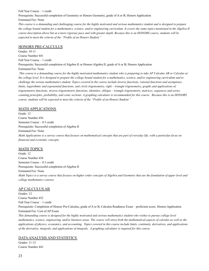Full Year Course – 1 credit Prerequisite: Successful completion of Geometry or Honors Geometry, grade of A or B; Honors Application Estimated Fee: None

*This course is a demanding and challenging course for the highly motivated and serious mathematics student and is designed to prepare the college bound student for a mathematics, science, and/or engineering curriculum. It covers the same topics mentioned in the Algebra II course description above but at a more rigorous pace and with greater depth. Because this is an HONORS course, students will be expected to meet the criteria of the "Profile of an Honors Student."*

#### HONORS PRE-CALCULUS

Grades: 10-11 Course Number 441 Full Year Course – 1 credit Prerequisite: Successful completion of Algebra II or Honors Algebra II, grade of A or B; Honors Application Estimated Fee: None *This course is a demanding course for the highly motivated mathematics student who is preparing to take AP Calculus AB or Calculus at the college level. It is designed to prepare the college bound student for a mathematics, science, and/or engineering curriculum and to challenge the serious mathematics student. Topics covered in the course include inverse functions, rational functions and asymptotes, limits, logarithmic and exponential functions, unit circle trigonometry, right – triangle trigonometry, graphs and applications of trigonometric functions, inverse trigonometric functions, identities, oblique – triangle trigonometry, matrices, sequences and series,*

*counting principles, probability, and conic sections. A graphing calculator is recommended for this course. Because this is an HONORS course, students will be expected to meet the criteria of the "Profile of an Honors Student."*

#### MATH APPLICATIONS

Grade: 12 Course Number 456 Semester Course – 0.5 credit Prerequisite: Successful completion of Algebra II Estimated Fee: None *Math Applications is a survey course that focuses on mathematical concepts that are part of everyday life, with a particular focus on financial and economic concepts.*

#### MATH TOPICS

Grade: 12 Course Number 454 Semester Course – 0.5 credit Prerequisite: Successful completion of Algebra II Estimated Fee: None *Math Topics is a survey course that focuses on higher order concepts of Algebra and Geometry that are the foundation of upper level and college mathematics courses.*

#### AP CALCULUS AB

Grades: 12 Course Number 452 Full Year Course – 1 credit Prerequisite: Completion of Honors Pre-Calculus, grade of A or B; Calculus Readiness Exam – proficient score; Honors Application Estimated Fee: Cost of AP Exam *This demanding course is designed for the highly motivated and serious mathematics student who wishes to pursue college level*

*mathematics, science, engineering, and/or business areas. The course will stress both the mathematical aspects of calculus as well as the applications of physics, economics, and accounting. Topics covered in this course include limits, continuity, derivatives, and applications of the derivative, integrals, and applications of integrals. A graphing calculator is required for this course.*

#### DATAANALYSIS AND STATISTICS

Grades: 11-12 Course Number 443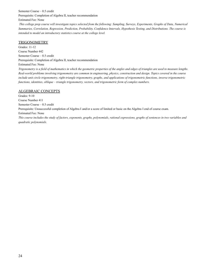Semester Course – 0.5 credit Prerequisite: Completion of Algebra II, teacher recommendation Estimated Fee: None

*This college prep course will investigate topics selected from the following: Sampling, Surveys, Experiments, Graphs of Data, Numerical Summaries, Correlation, Regression, Prediction, Probability, Confidence Intervals, Hypothesis Testing, and Distributions. The course is intended to model an introductory statistics course at the college level.*

#### TRIGONOMETRY

Grades: 11-12 Course Number 442 Semester Course – 0.5 credit Prerequisite: Completion of Algebra II, teacher recommendation Estimated Fee: None *Trigonometry is a field of mathematics in which the geometric properties of the angles and edges of triangles are used to measure lengths. Real-world problems involving trigonometry are common in engineering, physics, construction and design. Topics covered in the course include unit circle trigonometry, right-triangle trigonometry, graphs, and applications of trigonometric functions, inverse trigonometric functions, identities, oblique – triangle trigonometry, vectors, and trigonometric form of complex numbers.*

#### ALGEBRAIC CONCEPTS

Grades: 9-10 Course Number 411 Semester Course – 0.5 credit Prerequisite: Unsuccessful completion of Algebra I and/or a score of limited or basic on the Algebra I end of course exam. Estimated Fee: None *This course includes the study of factors, exponents, graphs, polynomials, rational expressions, graphs of sentences in two variables and quadratic polynomials.*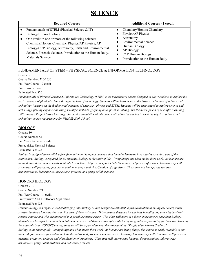## **SCIENCE**

| Fundamentals of STEM (Physical Science & IT)<br>Chemistry/Honors Chemistry<br>Physics/AP Physics<br>Biology/Honors Biology<br>Astronomy<br>One credit in one or more of the following sciences:<br><b>Environmental Science</b><br>Chemistry/Honors Chemistry, Physics/AP Physics, AP<br>Human Biology<br>Biology/CCP Biology, Astronomy, Earth and Environmental<br>AP Biology<br>Science, Forensic Science, Introduction to the Human Body, | <b>Required Courses</b> | <b>Additional Courses - 1 credit</b> |
|-----------------------------------------------------------------------------------------------------------------------------------------------------------------------------------------------------------------------------------------------------------------------------------------------------------------------------------------------------------------------------------------------------------------------------------------------|-------------------------|--------------------------------------|
| Materials Science.<br>Introduction to the Human Body                                                                                                                                                                                                                                                                                                                                                                                          |                         | CCP Human Biology                    |

#### FUNDAMENTALS OF STEM - PHYSICAL SCIENCE & INFORMATION TECHNOLOGY

Grades: 9

Course Number: 510/1050 Full Year Course - 2 credit Prerequisites: none Estimated Fee: \$20

*Fundamentals of Physical Science & Information Technology (STEM) is an introductory course designed to allow students to explore the basic concepts of physical science through the lens of technology. Students will be introduced to the history and nature of science and technology focusing on the fundamental concepts of chemistry, physics and STEM. Students will be encouraged to explore science and technology, placing emphasis on using scientific methods, graphing data, problem solving, and the development of scientific reasoning skills through Project Based Learning. Successful completion of this course will allow the student to meet the physical science and technology course requirements for Wickliffe High School.*

#### BIOLOGY

Grades: 10 Course Number 520 Full Year Course – 1 credit Prerequisite: Physical Science Estimated Fee: \$25

*Biology is designed to establish a firm foundation in biological concepts that includes hands-on laboratories as a vital part of the curriculum. Biology is required for all students. Biology is the study of life – living things and what makes them work. As humans are living things, this course is easily relatable to our lives. Major concepts include the nature and process of science, biochemistry, cell structures, cell processes, genetics, evolution, ecology, and classification of organisms. Class time will incorporate lectures, demonstrations, laboratories, discussions, projects, and group collaborations.*

#### HONORS BIOLOGY

Grades: 9-10 Course Number 521 Full Year Course – 1 credit Prerequisite: AP/CCP/Honors Application Estimated Fee: \$25

*Honors Biology is a rigorous and challenging introductory course designed to establish a firm foundation in biological concepts that stresses hands-on laboratories as a vital part of the curriculum. This course is designed for students intending to pursue higher-level science courses and who are interested in a possible science career. This class will move at a faster, more intense pace than Biology. Students will be expected to handle additional material and detailed concepts while taking on greater responsibility for their own learning. Because this is an HONORS course, students will be expected to meet the criteria of the "Profile of an Honors Student." Biology is the study of life – living things and what makes them work. As humans are living things, this course is easily relatable to our lives. Major concepts focused on include the nature and process of science, basic chemistry, biochemistry, cell structures, cell processes, genetics, evolution, ecology, and classification of organisms. Class time will incorporate lectures, demonstrations, laboratories, discussions, group collaborations, and individual projects.*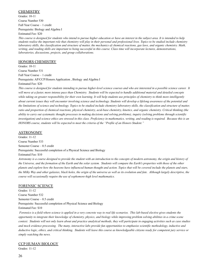#### **CHEMISTRY**

Grades: 10-11 Course Number 530 Full Year Course – 1 credit Prerequisite: Biology and Algebra I Estimated Fee: \$20

*This course is designed for students who intend to pursue higher education or have an interest in the subject area. It is intended to help students realize the important role that chemistry will play in their personal and professional lives. Topics to be studied include chemistry laboratory skills, the classification and structure of matter, the mechanics of chemical reactions, gas laws, and organic chemistry. Math, writing, and reading skills are important to being successful in this course. Class time will incorporate lectures, demonstrations, laboratories, discussions, projects, and group collaborations.*

#### HONORS CHEMISTRY

Grades: 10-11 Course Number 531 Full Year Course – 1 credit Prerequisite: AP/CCP/Honors Application , Biology and Algebra I Estimated Fee: \$20

*This course is designed for students intending to pursue higher-level science courses and who are interested in a possible science career. It* will move at a faster, more intense pace than Chemistry. Students will be expected to handle additional material and detailed concepts *while taking on greater responsibility for their own learning. It will help students use principles of chemistry to think more intelligently about current issues they will encounter involving science and technology. Students will develop a lifelong awareness of the potential and the limitations of science and technology. Topics to be studied include chemistry laboratory skills, the classification and structure of matter, ratio and proportion of chemical reactions, physical chemistry, acid-base chemistry, kinetics, and organic chemistry. Critical thinking (the ability to carry out systematic thought processes in making decisions and solving problems), inquiry (solving problems through scientific investigation) and science ethics are stressed in this class. Proficiency in mathematics, writing, and reading is required. Because this is an HONORS course, students will be expected to meet the criteria of the "Profile of an Honors Student."*

#### ASTRONOMY

Grades: 11-12 Course Number 533 Semester Course – 0.5 credit Prerequisite: Successful completion of a Physical Science and Biology Estimated Fee: \$10

*Astronomy is a course designed to provide the student with an introduction to the concepts of modern astronomy, the origin and history of the Universe, and the formation of the Earth and the solar system. Students will compare the Earth's properties with those of the other planets and explore how the heavens have influenced human thought and action. Topics that will be covered include the planets and stars, the Milky Way and other galaxies, black holes, the origin of the universe as well as its evolution and fate. Although largely descriptive, the course will occasionally require the use of sophomore-high level mathematics.*

#### FORENSIC SCIENCE

Grades: 11-12 Course Number 532 Semester Course – 0.5 credit Prerequisite: Successful completion of Physical Science and Biology Estimated Fee: \$10

*Forensics is a field where science is applied in a very concrete way to real life scenarios. This lab-based elective gives students the opportunity to integrate their knowledge of chemistry, physics, and biology while improving problem solving abilities in a crime scene context. Students will not only learn about and practice analytical methods, they will participate in engaging activities such as case studies and mock evidence processing. The many, interactive labs provide fun opportunities to emphasize scientific methodology, inductive and deductive logic, ethics, and critical thinking. Students will leave this course as knowledgeable citizens ready for competent jury service or simply watching the news.*

#### CCP HUMAN BIOLOGY

Grades: 11-12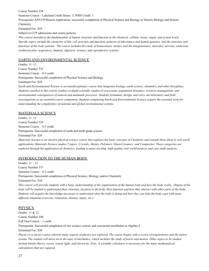Course Number 538

Semester Course – Lakeland Credit Hours: 3; WHS Credit: 1

Prerequisite: AP/CCP/Honors Application, successful completion of Physical Science and Biology or Honors Biology and Honors Chemistry

Estimated Fee: \$10

Subject to CCP admissions and course policies

*This course introduces the fundamentals of human structure and function at the chemical, cellular, tissue, organ, and system levels. Specific topics include the chemistry of life, cell structure and function, patterns of inheritance and human genetics, and the structure and functions of the body systems. The course includes the study of homeostasis, tissues, and the integumentary, muscular, nervous, endocrine, cardiovascular, respiratory, immune, digestive, urinary, and reproductive systems.*

#### EARTH AND ENVIRONMENTAL SCIENCE

Grades: 11–12 Course Number 535 Semester Course – 0.5 credit Prerequisite: Successful completion of Physical Science and Biology Estimated Fee: \$28 *Earth and Environmental Science is an interdisciplinary course that integrates biology, earth science, chemistry, and other disciplines.*

*Students enrolled in this course conduct in-depth scientific studies of ecosystems, population dynamics, resource management, and environmental consequences of natural and manmade processes. Students formulate, design, and carry out laboratory and field investigations as an essential course component. Students completing Earth and Environmental Science acquire the essential tools for understanding the complexities of national and global environmental systems.*

#### MATERIALS SCIENCE

Grades: 11–12 Course Number 536 Semester Course – 0.5 credit Prerequisite: Successful completion of ninth and tenth grade science Estimated Fee: \$28 *Materials Science is an elective physical science course that explores the basic concepts of Chemistry and extends these ideas to real world applications. Materials Science studies 5 topics: Crystals, Metals, Polymers, Glass/Ceramics, and Composites. These categories are explored through the application of chemistry, leading to many exciting, high quality, real world projects and case study analysis.*

#### INTRODUCTION TO THE HUMAN BODY

Grades: 11 – 12 Course Number 537 Semester Course – 0.5 credit Prerequisite: Successful completion of Physical Science, Biology, and/or Chemistry Estimated Fee: \$10

*This course will provide students with a basic understanding of the organization of the human body and how the body works. Organs of the body will be studied to understand their structure, location in the body, their function and how they interact with other parts of the body. Students will acquire the knowledge necessary to understand what the body is doing and how they can help the body cope with many different situations (exercise, relaxation, disease, injury, etc.).*

#### PHYSICS

Grades: 11 & 12 Course Number 540 Full Year Course – 1 credit Prerequisite: Successful completion of two science courses and concurrent enrollment in Algebra 2.

Estimated Fee: \$20

*Physics is a survey course wherein many aspects of physics are explored. The course begins with a review of trigonometry and the metric system. The student will move on to the topic of mechanics, which includes the study of forces and motion. Other topics to be studied include kinetic theory, waves, sound, light, and electricity. Note: A scientific calculator is necessary for the many mathematical calculations that are required.*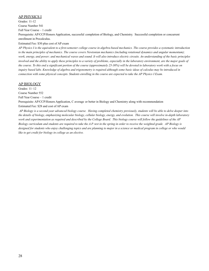#### AP PHYSICS I

Grades: 11-12

Course Number 541

Full Year Course – 1 credit

Prerequisite: AP/CCP/Honors Application, successful completion of Biology, and Chemistry. Successful completion or concurrent enrollment in Precalculus.

#### Estimated Fee: \$30 plus cost of AP exam

*AP Physics I is the equivalent to a first-semester college course in algebra-based mechanics. The course provides a systematic introduction to the main principles of mechanics. The course covers Newtonian mechanics (including rotational dynamics and angular momentum); work, energy, and power; and mechanical waves and sound. It will also introduce electric circuits. An understanding of the basic principles involved and the ability to apply these principles to a variety of problems, especially in the laboratory environment, are the major goals of the course. To this end a significant portion of the course (approximately 25-30%) will be devoted to laboratory work with a focus on inquiry based labs. Knowledge of algebra and trigonometry is required although some basic ideas of calculus may be introduced in connection with some physical concepts. Students enrolling in the course are expected to take the AP Physics I Exam.*

#### AP BIOLOGY

Grades: 11–12

Course Number 552

Full Year Course – 1 credit

Prerequisite: AP/CCP/Honors Application, C average or better in Biology and Chemistry along with recommendation Estimated Fee: \$28 and cost of AP exam

*AP Biology is a second-year advanced biology course. Having completed chemistry previously, students will be able to delve deeper into the details of biology, emphasizing molecular biology, cellular biology, energy, and evolution. This course will involve in-depth laboratory work and experimentation as required and described by the College Board. This biology course will follow the guidelines of the AP Biology curriculum and students are required to take the A.P. test in the spring in order to receive the weighted grade. AP Biology is designed for students who enjoy challenging topics and are planning to major in a science or medical program in college or who would like to get credit for biology in college as an elective.*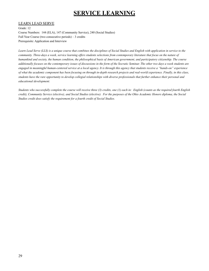## **SERVICE LEARNING**

#### LEARN LEAD SERVE

Grade: 12

Course Numbers: 144 (ELA), 147 (Community Service), 240 (Social Studies) Full Year Course (two consecutive periods) – 3 credits Prerequisite: Application and Interview

*Learn Lead Serve (LLS) is a unique course that combines the disciplines of Social Studies and English with application in service to the community. Three-days a week, service learning offers students selections from contemporary literature that focus on the nature of humankind and society, the human condition, the philosophical basis of American government, and participatory citizenship. The course additionally focuses on the contemporary issues of discussions in the form of the Socratic Seminar. The other two days a week students are engaged in meaningful human-centered service at a local agency. It is through this agency that students receive a "hands-on" experience of what the academic component has been focusing on through in-depth research projects and real-world experience. Finally, in this class, students have the rare opportunity to develop collegial relationships with diverse professionals that further enhance their personal and educational development.*

*Students who successfully complete the course will receive three (3) credits, one (1) each in: English (counts as the required fourth English credit), Community Service (elective), and Social Studies (elective). For the purposes of the Ohio Academic Honors diploma, the Social Studies credit does satisfy the requirement for a fourth credit of Social Studies.*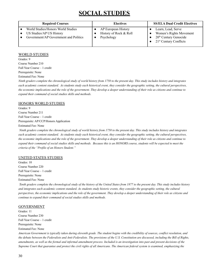## **SOCIAL STUDIES**

| <b>Required Courses</b>                                        | <b>Electives</b>                              | <b>SS/ELA Dual Credit Electives</b>                                     |
|----------------------------------------------------------------|-----------------------------------------------|-------------------------------------------------------------------------|
| World Studies/Honors World Studies<br>US Studies/AP US History | AP European History<br>History of Rock & Roll | Learn, Lead, Serve<br>Women's Rights Movement                           |
| Government/AP Government and Politics                          | Psychology                                    | 20 <sup>th</sup> Century Genocide<br>21 <sup>st</sup> Century Conflicts |

#### WORLD STUDIES

Grades: 9 Course Number 210 Full Year Course – 1 credit Prerequisite: None Estimated Fee: None

*Ninth graders complete the chronological study of world history from 1750 to the present day. This study includes history and integrates each academic content standard. As students study each historical event, they consider the geographic setting, the cultural perspectives, the economic implications and the role of the government. They develop a deeper understanding of their role as citizens and continue to expand their command of social studies skills and methods.*

#### HONORS WORLD STUDIES

Grades: 9 Course Number 211 Full Year Course – 1 credit Prerequisite: AP/CCP/Honors Application Estimated Fee: None

*Ninth graders complete the chronological study of world history from 1750 to the present day. This study includes history and integrates each academic content standard. As students study each historical event, they consider the geographic setting, the cultural perspectives, the economic implications and the role of the government. They develop a deeper understanding of their role as citizens and continue to expand their command of social studies skills and methods. Because this is an HONORS course, students will be expected to meet the criteria of the "Profile of an Honors Student."*

#### UNITED STATES STUDIES

Grades: 10 Course Number 220 Full Year Course – 1 credit Prerequisite: None Estimated Fee: None

*Tenth graders complete the chronological study of the history of the United States from 1877 to the present day. This study includes history and integrates each academic content standard. As students study historic events, they consider the geographic setting, the cultural perspectives, the economic implications and the role of the government. They develop a deeper understanding of their role as citizens and continue to expand their command of social studies skills and methods.*

#### GOVERNMENT

Grades: 11 Course Number 230 Full Year Course – 1 credit Prerequisite: None Estimated Fee: None

*American Government is typically taken during eleventh grade. The student begins with the credibility of sources, conflict resolution, and the debate between the Federalists and Anti-Federalists. The provisions of the U.S. Constitution are discussed, including the Bill of Rights, amendments, as well as the formal and informal amendment process. Included is an investigation into past and present decisions of the Supreme Court that guarantee and protect the civil rights of all Americans. The American federal system is examined, emphasizing the*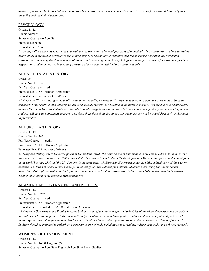*division of powers, checks and balances, and branches of government. The course ends with a discussion of the Federal Reserve System, tax policy and the Ohio Constitution.*

#### **PSYCHOLOGY**

Grades: 11-12 Course Number 243 Semester Course – 0.5 credit Prerequisite: None Estimated Fee: None

*Psychology allows students to examine and evaluate the behavior and mental processes of individuals. This course asks students to explore major topics in the field of psychology, including a history of psychology as a natural and social science, sensation and perception, consciousness, learning, development, mental illness, and social cognition. As Psychology is a prerequisite course for most undergraduate degrees, any student interested in pursuing post-secondary education will find this course valuable.*

#### AP UNITED STATES HISTORY

Grade: 10 Course Number 232 Full Year Course – 1 credit Prerequisite: AP/CCP/Honors Application Estimated Fee: \$26 and cost of AP exam

*AP American History is designed to duplicate an intensive college American History course in both content and presentation. Students considering this course should understand that sophisticated material is presented in an intensive fashion, with the end goal being success on the AP exam in May. All students must be able to read college level text and be able to communicate effectively through writing, though students will have an opportunity to improve on these skills throughout the course. American history will be traced from early exploration to present day.*

#### AP EUROPEAN HISTORY

Grades: 11-12 Course Number 242 Full Year Course – 1 credit Prerequisite: AP/CCP/Honors Application Estimated Fee: \$25 and cost of AP exam

*AP European History traces the development of the modern world. The basic period of time studied in the course extends from the birth of the modern European continent in 1500 to the 1980's. The course traces in detail the development of Western Europe as the dominant force in the world between 1500 and the 21st Century. At the same time, A.P. European History examines the philosophical basis of this western civilization in terms of its economic, social, political, religious, and cultural foundations. Students considering this course should understand that sophisticated material is presented in an intensive fashion. Prospective students should also understand that extensive reading, in addition to the textbook, will be required.*

#### AP AMERICAN GOVERNMENT AND POLITICS

Grades: 11-12 Course Number: 252 Full Year Course – 1 credit Prerequisite: AP/CCP/Honors Application Estimated Fee: Estimated fee \$35.00 and cost of AP exam

*AP American Government and Politics involves both the study of general concepts and principles of American democracy and analysis of the realities of "working politics." The class will study constitutional foundations, politics, culture and behavior, political parties and interest groups, the public process and civil liberties. We will be immersed daily in discussion and debate over the "issues of the day." Students should be prepared to embark on a rigorous course of study including serious reading, independent study, and political research.*

#### WOMEN'S RIGHTS MOVEMENT

Grades: 11-12 Course Number 145 (ELA), 245 (SS) Semester Course – 0.5 credit of English/0.5 credit of Social Studies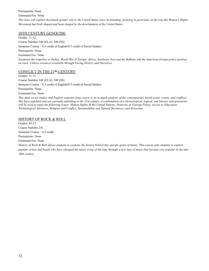Prerequisite: None

#### Estimated Fee: None

*The class will explore the female gender role in the United States since its founding, focusing in particular on the way the Women's Rights Movement has both shaped and been shaped by the development of the United States.*

#### 20TH CENTURY GENOCIDE

Grades: 11-12 Course Number 146 (ELA), 246 (SS) Semester Course – 0.5 credit of English/0.5 credit of Social Studies Prerequisite: None Estimated Fee: None

*Examines the tragedies in Turkey, World War II Europe, Africa, Southeast Asia and the Balkans and the American foreign policy position on each. Utilizes resources available through Facing History and Ourselves.*

#### CONFLICT IN THE 21<sup>SI</sup> CENTURY

Grades: 11-12

Course Number 148 (ELA), 248 (SS)

Semester Course – 0.5 credit of English/0.5 credit of Social Studies

Prerequisite: None

Estimated Fee: None

*This dual social studies and English semester-long course is an in-depth analysis of the contemporary world issues, events, and conflicts that have unfolded and are currently unfolding in the 21st century. A combination of a chronological, topical, and literary interpretations will be used to study the following issues: Human Rights & the United Nations, Domestic & Foreign Policy, Access to Education, Technological Advances, Religion and Conflict, Sustainability and Natural Resources, and Terrorism.*

#### HISTORY OF ROCK & ROLL

Grades: 10-12 Course Number 241 Semester Course – 0.5 credit Prerequisite: None Estimated Fee: None

*History of Rock & Roll allows students to examine the history behind this specific genre of music. This course asks students to explore popular artists and bands who have changed the music scene of the time through a new type of music that became very popular in the mid 20th century.*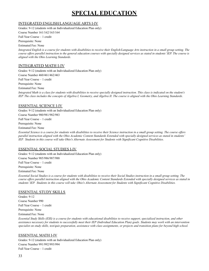## **SPECIAL EDUCATION**

#### INTEGRATED ENGLISH/LANGUAGE ARTS I-IV

Grades: 9-12 (students with an Individualized Education Plan only)

Course Number 161/162/163/164

Full Year Course – 1 credit

Prerequisite: None

Estimated Fee: None

*Integrated English is a course for students with disabilities to receive their English/Language Arts instruction in a small group setting. The course offers parallel instruction to the general education courses with specially designed services as stated in students' IEP. The course is aligned with the Ohio Learning Standards.*

#### INTEGRATED MATH I-IV

Grades: 9-12 (students with an Individualized Education Plan only) Course Number 460/461/462/463

Full Year Course – 1 credit

Prerequisite: None

Estimated Fee: None

*Integrated Math is a class for students with disabilities to receive specially designed instruction. This class is indicated on the student's IEP. The class includes the concepts of Algebra I, Geometry, and Algebra II. The course is aligned with the Ohio Learning Standards.*

#### ESSENTIAL SCIENCE I-IV

Grades: 9-12 (students with an Individualized Education Plan only) Course Number 980/981/982/983

Full Year Course – 1 credit

Prerequisite: None

Estimated Fee: None

*Essential Science is a course for students with disabilities to receive their Science instruction in a small group setting. The course offers parallel instruction aligned with the Ohio Academic Content Standards Extended with specially designed services as stated in students' IEP. Students in this course will take Ohio's Alternate Assessment for Students with Significant Cognitive Disabilities.*

#### ESSENTIAL SOCIAL STUDIES I-IV

Grades: 9-12 (students with an Individualized Education Plan only)

Course Number 985/986/987/988

Full Year Course – 1 credit

Prerequisite: None

Estimated Fee: None

*Essential Social Studies is a course for students with disabilities to receive their Social Studies instruction in a small group setting. The course offers parallel instruction aligned with the Ohio Academic Content Standards Extended with specially designed services as stated in students' IEP. Students in this course will take Ohio's Alternate Assessment for Students with Significant Cognitive Disabilities.*

#### ESSENTIAL STUDY SKILLS

Grades: 9-12 Course Number 990 Full Year Course – 1 credit Prerequisite: None Estimated Fee: None

*Essential Study Skills (ESS) is a course for students with educational disabilities to receive support, specialized instruction, and other assistance necessary for students to successfully meet their IEP (Individual Education Plan) goals. Students may work with an intervention specialist on study skills, test/quiz preparation, assistance with class assignments, or projects and transition plans for beyond high school.*

#### ESSENTIAL MATH I-IV

Grades: 9-12 (students with an Individualized Education Plan only) Course Number 991/992/993/994 Full Year Course – 1 credit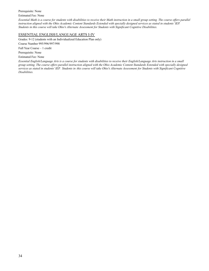Prerequisite: None

Estimated Fee: None

*Essential Math is a course for students with disabilities to receive their Math instruction in a small group setting. The course offers parallel instruction aligned with the Ohio Academic Content Standards Extended with specially designed services as stated in students' IEP. Students in this course will take Ohio's Alternate Assessment for Students with Significant Cognitive Disabilities.*

#### ESSENTIAL ENGLISH/LANGUAGE ARTS I-IV

Grades: 9-12 (students with an Individualized Education Plan only)

Course Number 995/996/997/998

Full Year Course – 1 credit

Prerequisite: None

Estimated Fee: None

*Essential English/Language Arts is a course for students with disabilities to receive their English/Language Arts instruction in a small group setting. The course offers parallel instruction aligned with the Ohio Academic Content Standards Extended with specially designed services as stated in students' IEP. Students in this course will take Ohio's Alternate Assessment for Students with Significant Cognitive Disabilities.*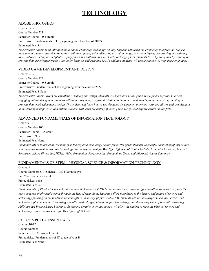## **TECHNOLOGY**

#### ADOBE PHOTOSHOP

Grades: 9-12 Course Number 721 Semester Course – 0.5 credit Prerequisite: Fundamentals of IT (beginning with the class of 2022)

Estimated Fee: \$ 4

*This semester course is an introduction to Adobe Photoshop and image editing. Students will learn the Photoshop interface, how to use tools to edit a photo, use selection tools to edit and apply special effects to parts of an image, work with layers, use drawing and painting tools, enhance and repair old photos, apply filters and patterns, and work with vector graphics. Students learn by doing and by working on projects that use effective graphic design for business and personal use. In addition students will create composites from parts of images.*

#### VIDEO GAME DEVELOPMENT AND DESIGN

Grades: 9-12 Course Number 722 Semester Course – 0.5 credit Prerequisite: Fundamentals of IT (beginning with the class of 2022) Estimated Fee: \$ None *This semester course covers the essentials of video game design. Students will learn how to use game development software to create engaging, interactive games. Students will write storylines, use graphic design, animation, sound, and beginner level programming in projects that teach video game design. The student will learn how to use the game development interface, resource editors and troubleshoot*

*in the development process. In addition, students will learn the history of video game design, and explore careers in the field.*

#### ADVANCED FUNDAMENTALS OF INFORMATION TECHNOLOGY

Grade: 9-11 Course Number 1051 Semester Course - 0.5 credit Prerequisite: None Estimated Fee: None *Fundamentals of Information Technology is the required technology course for all 9th grade students. Successful completion of this course will allow the student to meet the technology course requirement for Wickliffe High School. Topics Include: Computer Concepts, Internet Resources, Adobe Photoshop, HTML, Video Production, Programming, Productivity Tools, and Microsoft Access Database.*

#### FUNDAMENTALS OF STEM - PHYSICAL SCIENCE & INFORMATION TECHNOLOGY

Grades: 9 Course Number: 510 (Science) 1050 (Technology) Full Year Course - 2 credit Prerequisites: none Estimated Fee: \$20

*Fundamentals of Physical Science & information Technology - STEM is an introductory course designed to allow students to explore the basic concepts of physical science through the lens of technology. Students will be introduced to the history and nature of science and technology focusing on the fundamental concepts of chemistry, physics and STEM. Students will be encouraged to explore science and technology, placing emphasis on using scientific methods, graphing data, problem solving, and the development of scientific reasoning skills through Project Based Learning. Successful completion of this course will allow the student to meet the physical science and technology course requirements for Wickliffe High School.*

#### CCP COMPUTER ESSENTIALS

Grades: 10-12 Course Number Semester CCP Course – 1 credit Prerequisite: Fundamentals of IT, grade of A or B Estimated Fee: None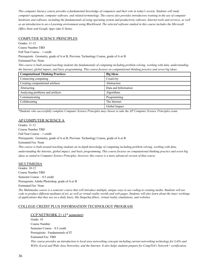*This computer literacy course provides a fundamental knowledge of computers and their role in today's society. Students will study computer equipment, computer software, and related terminology. The course also provides introductory training in the use of computer hardware and software, including the fundamentals of using operating system and productivity software, Internet tools and services, as well as an introduction to an e-Learning environment using Blackboard. The selected software studied in this course includes the Microsoft Office Suite and Google Apps (aka G Suite).*

#### COMPUTER SCIENCE PRINCIPLES

Grades: 11-12

Course Number TBD

Full Year Course – 1 credit

Prerequisite: Geometry, grade of A or B, Previous Technology Course, grade of A or B

Estimated Fee: None

*This course is built around teaching students the fundamentals of computing including problem solving, working with data, understanding the Internet, global impact, and basic programming. This course focuses on computational thinking practice and seven big ideas:*

| <b>Computational Thinking Practices</b> | <b>Big Ideas</b>     |
|-----------------------------------------|----------------------|
| Connecting computing                    | Creativity           |
| Creating computational artifacts        | Abstraction          |
| Abstracting                             | Data and Information |
| Analyzing problems and artifacts        | Algorithms           |
| Communicating                           | Programming          |
| Collaborating                           | The Internet         |
|                                         | Global Impact        |

\**Students who successfully complete Computer Science Principles may choose to take the AP Computer Science Principles exam.*

#### AP COMPUTER SCIENCE A

Grades: 11-12 Course Number TBD Full Year Course – 1 credit Prerequisite: Geometry, grade of A or B, Previous Technology Course, grade of A or B Estimated Fee: None *This course is built around teaching students an in-depth knowledge of computing including problem solving, working with data, understanding the Internet, global impact, and basic programming. This course focuses on computational thinking practice and seven big ideas as stated in Computer Science Principles; however, this course is a more advanced version of that course.*

#### MULTIMEDIA

Grades: 10-12 Course Number TBD Semester Course – 0.5 credit Prerequisite: Adobe Photoshop, grade of A or B Estimated Fee: None

*The Multimedia course is a semester course that will introduce multiple, unique ways to use coding in creating media. Students will use code to produce different mediums of art, as well as virtual reality worlds and web pages. Students will also learn about the inner workings of applications that they use on a daily basis, like Snapchat filters, virtual reality simulations, and websites.*

#### COLLEGE CREDIT PLUS INFORMATION TECHNOLOGY PROGRAM

#### CCP NETWORK  $2+$  ( $1<sup>st</sup>$  semester)

Grade: 10 Course Number Semester Course – 0.5 credit Prerequisite: Fundamentals of IT Estimated Fee: TBD *This course provides an introduction to local area networking concepts including current networking technology for LANs and WANs (Local and Wide Area Networks), and the Internet. It also helps students prepare for CompTIA's Network+ certification.*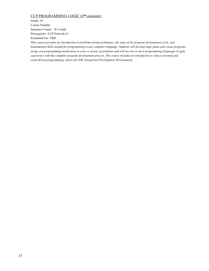#### CCP PROGRAMMING LOGIC (2<sup>nd</sup> semester)

Grade: 10 Course Number Semester Course – 0.5 credit Prerequisite: CCP Network 2+ Estimated Fee: TBD

*This course provides an introduction to problem-solving techniques, the steps of the program development cycle, and fundamental skills needed for programming in any computer language. Students will develop logic plans and create programs using core programming instructions to solve a variety of problems and will use one or more programming languages to gain experience with the complete program development process. The course includes an introduction to object-oriented and event-driven programming, and to the IDE (Integrated Development Environment).*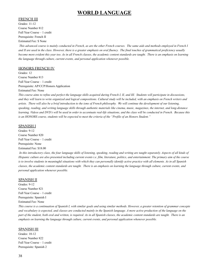## **WORLD LANGUAGE**

#### FRENCH III

Grades: 11-12 Course Number 812 Full Year Course – 1 credit Prerequisite: French II Estimated Fee: \$ None

*This advanced course is mainly conducted in French, as are the other French courses. The same aids and methods employed in French I and II are used in the class. However, there is a greater emphasis on oral fluency. The final touches of grammatical proficiency usually become more evident this year too. As in all French classes, the academic content standards are taught. There is an emphasis on learning the language through culture, current events, and personal application whenever possible.*

#### HONORS FRENCH IV

Grades: 12 Course Number 813 Full Year Course – 1 credit Prerequisite: AP/CCP/Honors Application Estimated Fee: None

*This course aims to refine and perfect the language skills acquired during French I, II, and III. Students will participate in discussions, and they will learn to write organized and logical compositions. Cultural study will be included, with an emphasis on French writers and artists. There will also be a brief introduction to the isms of French philosophy. We will continue the development of our listening, speaking, reading, and writing language skills through authentic materials like cinema, music, magazines, the internet, and long-distance learning. Videos and DVD's will be used in order to accentuate real-life situations, and the class will be conducted in French. Because this is an HONORS course, students will be expected to meet the criteria of the "Profile of an Honors Student."*

#### SPANISH I

Grades: 9-12 Course Number 820 Full Year Course – 1 credit Prerequisite: None Estimated Fee: \$18.00

In this introductory class, the four language skills of listening, speaking, reading and writing are taught separately. Aspects of all kinds of *Hispanic culture are also presented including current events i.e. film, literature, politics, and entertainment. The primary aim of the course is to involve students in meaningful situations with which they can personally identify active practice with all elements. As in all Spanish classes, the academic content standards are taught. There is an emphasis on learning the language through culture, current events, and personal application whenever possible.*

#### SPANISH II

Grades: 9-12 Course Number 821 Full Year Course – 1 credit Prerequisite: Spanish I Estimated Fee: None

*This course is a continuation of Spanish I, with similar goals and using similar methods. However, a greater retention of grammar concepts and vocabulary is expected, and classes are conducted mainly in the Spanish language. A more active production of the language on the part of the student, both oral and written, is required. As in all Spanish classes, the academic content standards are taught. There is an emphasis on learning the language through culture, current events, and personal application whenever possible.*

#### SPANISH III

Grades: 10-12 Course Number 822 Full Year Course – 1 credit Prerequisite: Spanish 2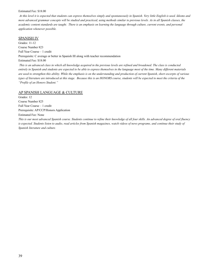#### Estimated Fee: \$18.00

*At this level it is expected that students can express themselves simply and spontaneously in Spanish. Very little English is used. Idioms and more advanced grammar concepts will be studied and practiced, using methods similar to previous levels. As in all Spanish classes, the academic content standards are taught. There is an emphasis on learning the language through culture, current events, and personal application whenever possible.*

#### SPANISH IV

Grades: 11-12 Course Number 823 Full Year Course – 1 credit Prerequisite: C average or better in Spanish III along with teacher recommendation Estimated Fee: \$18.00 *This is an advanced class in which all knowledge acquired in the previous levels are refined and broadened. The class is conducted*

*entirely in Spanish and students are expected to be able to express themselves in the language most of the time. Many different materials are used to strengthen this ability. While the emphasis is on the understanding and production of current Spanish, short excerpts of various types of literature are introduced at this stage. Because this is an HONORS course, students will be expected to meet the criteria of the "Profile of an Honors Student."*

#### AP SPANISH LANGUAGE & CULTURE

Grades: 12 Course Number 825 Full Year Course – 1 credit Prerequisite: AP/CCP/Honors Application Estimated Fee: None *This is our most advanced Spanish course. Students continue to refine their knowledge of all four skills. An advanced degree of oral fluency is expected. Students listen to audio, read articles from Spanish magazines, watch videos of news programs, and continue their study of Spanish literature and culture.*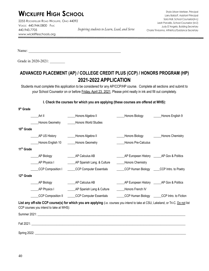## **WICKLIFFE HIGH SCHOOL**

2255 ROCKEFELLER ROAD WICKLIFFE, OHIO 44092 VOICE: 440.944.0800 FAX: 440.943.7705 www.wickliffeschools.org

Name:

Grade in 2020-2021:

## **ADVANCED PLACEMENT (AP) / COLLEGE CREDIT PLUS (CCP) / HONORS PROGRAM (HP) 2021-2022 APPLICATION**

Students must complete this application to be considered for any AP/CCP/HP course. Complete all sections and submit to your School Counselor on or before Friday, April 23, 2021. Please print neatly in ink and fill out completely.

**I. Check the courses for which you are applying (these courses are offered at WHS):**

| 9 <sup>th</sup> Grade                   |                                                                                                                                                                                                                                |                                               |                                               |
|-----------------------------------------|--------------------------------------------------------------------------------------------------------------------------------------------------------------------------------------------------------------------------------|-----------------------------------------------|-----------------------------------------------|
| Art II                                  | Honors Algebra II                                                                                                                                                                                                              | Honors Biology                                | Honors English 9                              |
| <b>Honors Geometry</b>                  | <b>Honors World Studies</b>                                                                                                                                                                                                    |                                               |                                               |
| 10 <sup>th</sup> Grade                  |                                                                                                                                                                                                                                |                                               |                                               |
| AP US History                           | Honors Algebra II                                                                                                                                                                                                              | _Honors Biology                               | Honors Chemistry                              |
| Honors English 10                       | <b>Honors Geometry</b>                                                                                                                                                                                                         | Honors Pre-Calculus                           |                                               |
| 11 <sup>th</sup> Grade                  |                                                                                                                                                                                                                                |                                               |                                               |
| AP Biology                              | AP Calculus AB                                                                                                                                                                                                                 | AP European History _______ AP Gov & Politics |                                               |
| AP Physics I                            | AP Spanish Lang. & Culture                                                                                                                                                                                                     | _Honors Chemistry                             |                                               |
| CCP Composition I                       | <b>CCP Computer Essentials</b>                                                                                                                                                                                                 |                                               | CCP Human Biology _____CCP Intro. to Poetry   |
| 12 <sup>th</sup> Grade                  |                                                                                                                                                                                                                                |                                               |                                               |
| AP Biology                              | AP Calculus AB                                                                                                                                                                                                                 |                                               | AP European History _______ AP Gov & Politics |
| AP Physics I                            | AP Spanish Lang & Culture                                                                                                                                                                                                      | Honors French IV                              |                                               |
| CCP Composition II                      | <b>CCP Computer Essentials</b>                                                                                                                                                                                                 |                                               | CCP Human Biology CCP Intro. to Fiction       |
| CCP courses you intend to take at WHS): | List any off-site CCP course(s) for which you are applying (i.e. courses you intend to take at CSU, Lakeland, or Tri-C. Do not list                                                                                            |                                               |                                               |
|                                         | Summer 2021: Summer 2021:                                                                                                                                                                                                      |                                               |                                               |
|                                         | Fall 2021: The contract of the contract of the contract of the contract of the contract of the contract of the contract of the contract of the contract of the contract of the contract of the contract of the contract of the |                                               |                                               |
| <b>Spring 2022:</b>                     |                                                                                                                                                                                                                                |                                               |                                               |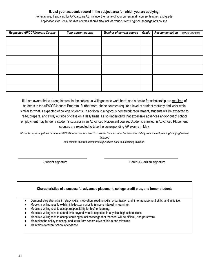#### **II. List your academic record in the subject area for which you are applying:**

For example, if applying for AP Calculus AB, include the name of your current math course, teacher, and grade. Applications for Social Studies courses should also include your current English/Language Arts course.

| <b>Requested AP/CCP/Honors Course</b> | Your current course | Teacher of current course | Grade | Recommendation - Teachers' signature |
|---------------------------------------|---------------------|---------------------------|-------|--------------------------------------|
|                                       |                     |                           |       |                                      |
|                                       |                     |                           |       |                                      |
|                                       |                     |                           |       |                                      |
|                                       |                     |                           |       |                                      |
|                                       |                     |                           |       |                                      |
|                                       |                     |                           |       |                                      |

III. I am aware that a strong interest in the subject, a willingness to work hard, and a desire for scholarship are required of students in the AP/CCP/Honors Program. Furthermore, these courses require a level of student maturity and work ethic similar to what is expected of college students. In addition to a rigorous homework requirement, students will be expected to read, prepare, and study outside of class on a daily basis. I also understand that excessive absences and/or out of school employment may hinder a student's success in an Advanced Placement course. Students enrolled in Advanced Placement courses are expected to take the corresponding AP exams in May.

*Students requesting three or more AP/CCP/Honors courses need to consider the amount of homework and daily commitment (reading/studying/review) involved*

*and discuss this with their parents/guardians prior to submitting this form.*

\_\_\_\_\_\_\_\_\_\_\_\_\_\_\_\_\_\_\_\_\_\_\_\_\_\_\_\_\_\_\_\_\_\_\_\_\_\_\_\_ \_\_\_\_\_\_\_\_\_\_\_\_\_\_\_\_\_\_\_\_\_\_\_\_\_\_\_\_\_\_\_\_\_\_\_\_\_\_\_\_\_\_\_

Student signature **Parent/Guardian signature** Parent/Guardian signature

#### **Characteristics of a successful advanced placement, college credit plus, and honor student:**

● Demonstrates strengths in: study skills, motivation, reading skills, organization and time management skills, and initiative.

- Models a willingness to exhibit intellectual curiosity (sincere interest in learning).
- Models a willingness to accept responsibility for his/her learning.
- Models a willingness to spend time beyond what is expected in a typical high school class.
- Models a willingness to accept challenges, acknowledge that the work will be difficult, and persevere.
- Maintains the ability to accept and learn from constructive criticism and mistakes.
- Maintains excellent school attendance.